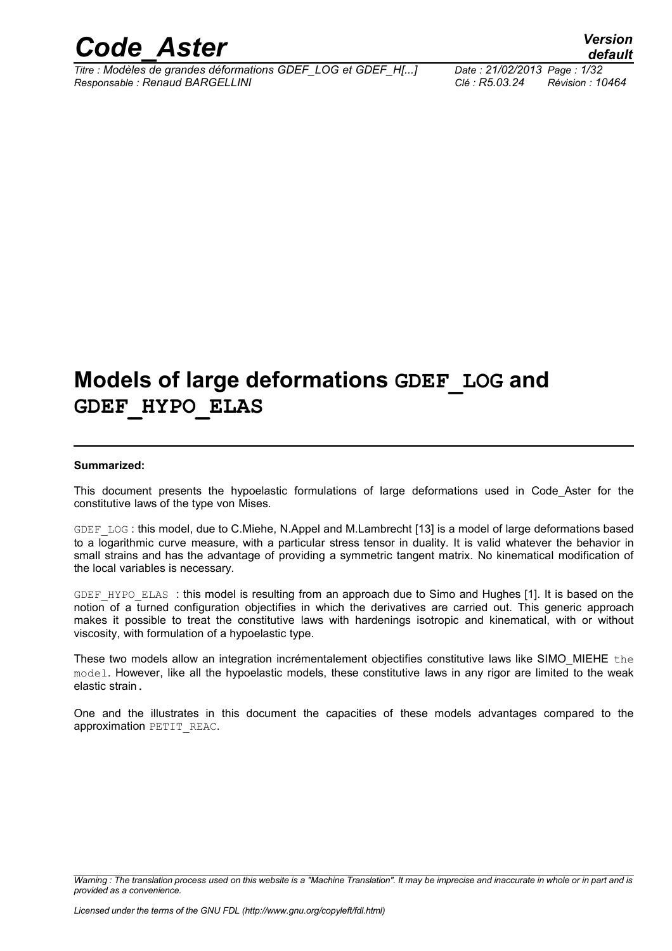

*Titre : Modèles de grandes déformations GDEF\_LOG et GDEF\_H[...] Date : 21/02/2013 Page : 1/32 Responsable : Renaud BARGELLINI Clé : R5.03.24 Révision : 10464*

## **Models of large deformations GDEF\_LOG and GDEF\_HYPO\_ELAS**

#### **Summarized:**

This document presents the hypoelastic formulations of large deformations used in Code\_Aster for the constitutive laws of the type von Mises.

GDEF LOG : this model, due to C.Miehe, N.Appel and M.Lambrecht [13] is a model of large deformations based to a logarithmic curve measure, with a particular stress tensor in duality. It is valid whatever the behavior in small strains and has the advantage of providing a symmetric tangent matrix. No kinematical modification of the local variables is necessary.

GDEF HYPO ELAS : this model is resulting from an approach due to Simo and Hughes [1]. It is based on the notion of a turned configuration objectifies in which the derivatives are carried out. This generic approach makes it possible to treat the constitutive laws with hardenings isotropic and kinematical, with or without viscosity, with formulation of a hypoelastic type.

These two models allow an integration incrémentalement objectifies constitutive laws like SIMO\_MIEHE the model. However, like all the hypoelastic models, these constitutive laws in any rigor are limited to the weak elastic strain.

One and the illustrates in this document the capacities of these models advantages compared to the approximation PETIT\_REAC.

*Warning : The translation process used on this website is a "Machine Translation". It may be imprecise and inaccurate in whole or in part and is provided as a convenience.*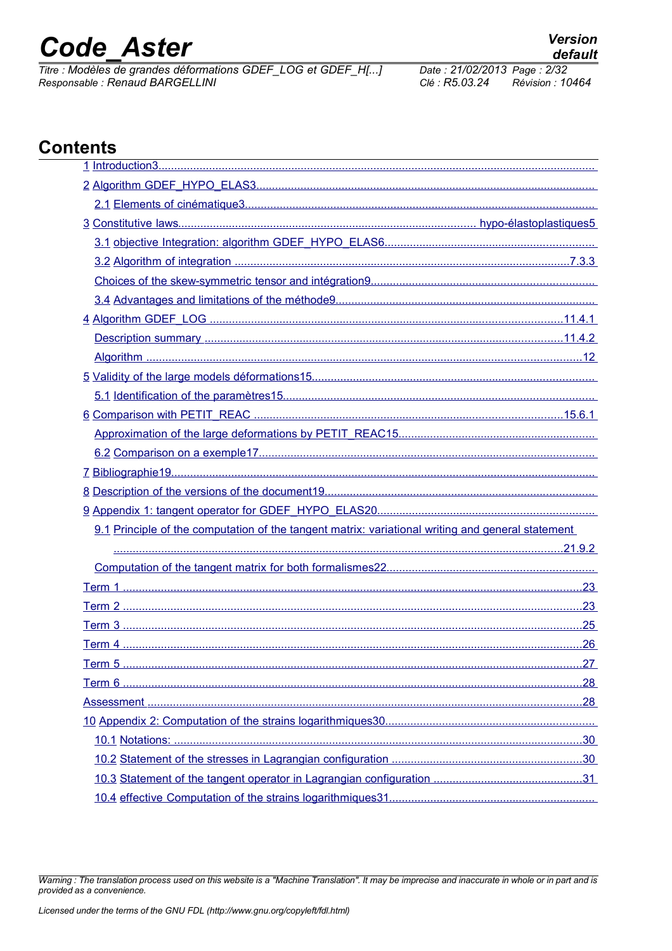# **Code Aster**

Titre : Modèles de grandes déformations GDEF\_LOG et GDEF\_H[...] Responsable : Renaud BARGELLINI

Date: 21/02/2013 Page: 2/32 Clé : R5.03.24 Révision : 10464

### **Contents**

| 9.1 Principle of the computation of the tangent matrix: variational writing and general statement |
|---------------------------------------------------------------------------------------------------|
|                                                                                                   |
|                                                                                                   |
|                                                                                                   |
|                                                                                                   |
|                                                                                                   |
|                                                                                                   |
|                                                                                                   |
|                                                                                                   |
|                                                                                                   |
|                                                                                                   |
|                                                                                                   |
|                                                                                                   |
|                                                                                                   |
|                                                                                                   |

Warning : The translation process used on this website is a "Machine Translation". It may be imprecise and inaccurate in whole or in part and is provided as a convenience.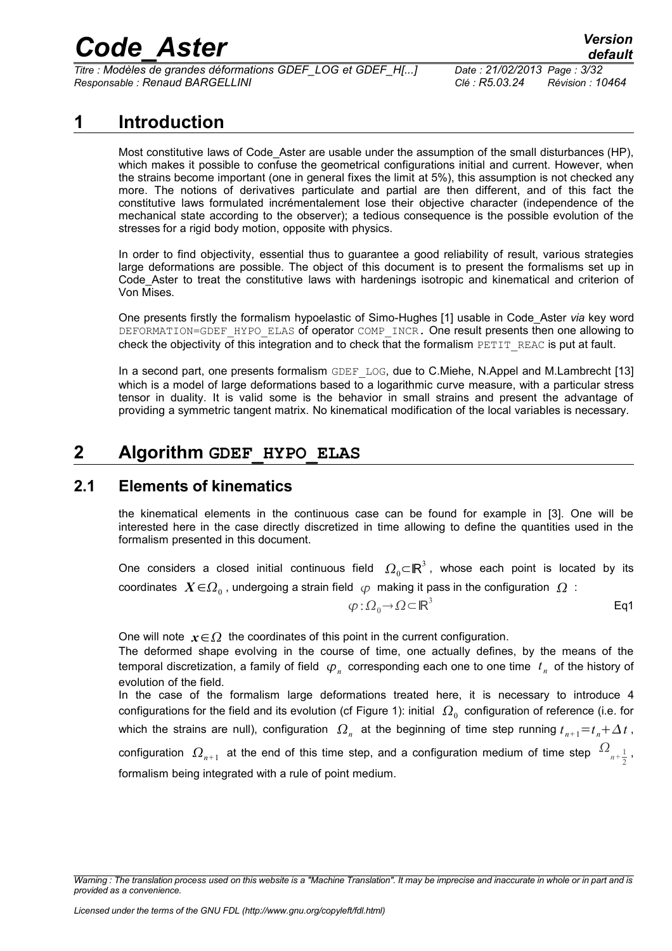*Titre : Modèles de grandes déformations GDEF\_LOG et GDEF\_H[...] Date : 21/02/2013 Page : 3/32 Responsable : Renaud BARGELLINI Clé : R5.03.24 Révision : 10464*

### **1 Introduction**

<span id="page-2-0"></span>Most constitutive laws of Code Aster are usable under the assumption of the small disturbances (HP), which makes it possible to confuse the geometrical configurations initial and current. However, when the strains become important (one in general fixes the limit at 5%), this assumption is not checked any more. The notions of derivatives particulate and partial are then different, and of this fact the constitutive laws formulated incrémentalement lose their objective character (independence of the mechanical state according to the observer); a tedious consequence is the possible evolution of the stresses for a rigid body motion, opposite with physics.

In order to find objectivity, essential thus to guarantee a good reliability of result, various strategies large deformations are possible. The object of this document is to present the formalisms set up in Code\_Aster to treat the constitutive laws with hardenings isotropic and kinematical and criterion of Von Mises.

One presents firstly the formalism hypoelastic of Simo-Hughes [1] usable in Code\_Aster *via* key word DEFORMATION=GDEF\_HYPO\_ELAS of operator COMP\_INCR. One result presents then one allowing to check the objectivity of this integration and to check that the formalism PETIT\_REAC is put at fault.

In a second part, one presents formalism GDEF LOG, due to C.Miehe, N.Appel and M.Lambrecht [13] which is a model of large deformations based to a logarithmic curve measure, with a particular stress tensor in duality. It is valid some is the behavior in small strains and present the advantage of providing a symmetric tangent matrix. No kinematical modification of the local variables is necessary.

### <span id="page-2-2"></span>**2 Algorithm GDEF\_HYPO\_ELAS**

### **2.1 Elements of kinematics**

<span id="page-2-1"></span>the kinematical elements in the continuous case can be found for example in [3]. One will be interested here in the case directly discretized in time allowing to define the quantities used in the formalism presented in this document.

One considers a closed initial continuous field  $\,\varOmega_{0} \mathsf{C}\mathsf{I}\mathsf{R}^{3}$ , whose each point is located by its coordinates  $\;X{\in}{\Omega_0}$  , undergoing a strain field  $\;{\varphi}\;$  making it pass in the configuration  $\;{\Omega}\;$  :

$$
\varphi : \Omega_0 \to \Omega \subset \mathbb{R}^3
$$
 Eq1

One will note  $x \in \Omega$  the coordinates of this point in the current configuration.

The deformed shape evolving in the course of time, one actually defines, by the means of the temporal discretization, a family of field  $\varphi_n^{}$  corresponding each one to one time  $\;t_n^{}$  of the history of evolution of the field.

In the case of the formalism large deformations treated here, it is necessary to introduce 4 configurations for the field and its evolution (cf Figure 1): initial  $\,\varOmega_{_0}\,$  configuration of reference (i.e. for which the strains are null), configuration  $\Omega_n$  at the beginning of time step running  $t_{n+1}$ = $t_n + \Delta t$ , configuration  $\ket{\Omega_{n+1}}$  at the end of this time step, and a configuration medium of time step  $\ket{\Omega_{n+\frac{1}{2}}}$  $\frac{1}{2}$ , formalism being integrated with a rule of point medium.

*Warning : The translation process used on this website is a "Machine Translation". It may be imprecise and inaccurate in whole or in part and is provided as a convenience.*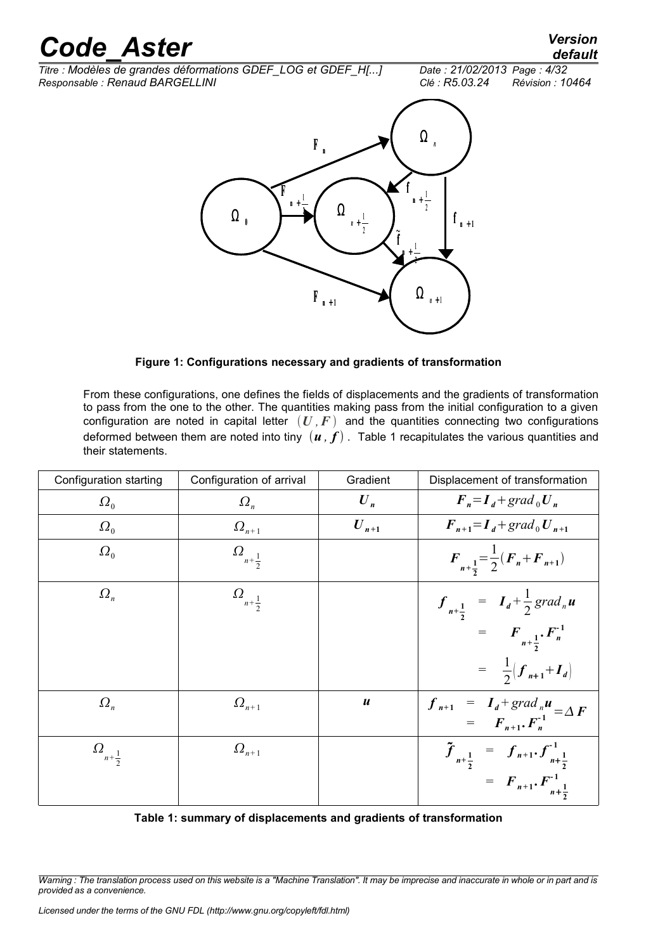*default*

*Titre : Modèles de grandes déformations GDEF\_LOG et GDEF\_H[...] Date : 21/02/2013 Page : 4/32 Responsable : Renaud BARGELLINI Clé : R5.03.24 Révision : 10464*





**Figure 1: Configurations necessary and gradients of transformation**

From these configurations, one defines the fields of displacements and the gradients of transformation to pass from the one to the other. The quantities making pass from the initial configuration to a given configuration are noted in capital letter  $(U, F)$  and the quantities connecting two configurations deformed between them are noted into tiny  $(u, f)$ . Table 1 recapitulates the various quantities and their statements.

| Configuration starting    | Configuration of arrival  | Gradient               | Displacement of transformation                                                     |
|---------------------------|---------------------------|------------------------|------------------------------------------------------------------------------------|
| $\Omega_0$                | $\Omega_n$                | $\boldsymbol{U}_n$     | $\boldsymbol{F}_n = \boldsymbol{I}_d + \operatorname{grad}_0 \boldsymbol{U}_n$     |
| $\Omega_0$                | $\Omega_{n+1}$            | $\boldsymbol{U}_{n+1}$ | $F_{n+1} = I_d + grad_0 U_{n+1}$                                                   |
| $\Omega_0$                | $\Omega_{n+\tfrac{1}{2}}$ |                        | $F_{n+\frac{1}{2}} = \frac{1}{2}(F_n + F_{n+1})$                                   |
| $\Omega_n$                | $\Omega_{n+\tfrac{1}{2}}$ |                        | $f_{n+\frac{1}{2}} = I_d + \frac{1}{2} grad_n u$<br>= $F_{n+\frac{1}{2}} F_n^{-1}$ |
|                           |                           |                        |                                                                                    |
|                           |                           |                        | $=\frac{1}{2}(\mathbf{f}_{n+1}+\mathbf{I}_{d})$                                    |
| $\Omega_n$                | $\Omega_{n+1}$            | $\boldsymbol{u}$       | $f_{n+1} = I_d + grad_n u$<br>= $F_{n+1} \cdot F_n^{-1} = \Delta F$                |
| $\Omega_{n+\tfrac{1}{2}}$ | $\Omega_{n+1}$            |                        | $\tilde{f}_{n+\frac{1}{2}} = f_{n+1} f^{-1}_{n+\frac{1}{2}}$                       |
|                           |                           |                        | = $F_{n+1}$ . $F_{n+\frac{1}{2}}^{-1}$                                             |

|  | Table 1: summary of displacements and gradients of transformation |  |  |
|--|-------------------------------------------------------------------|--|--|
|--|-------------------------------------------------------------------|--|--|

*Warning : The translation process used on this website is a "Machine Translation". It may be imprecise and inaccurate in whole or in part and is provided as a convenience.*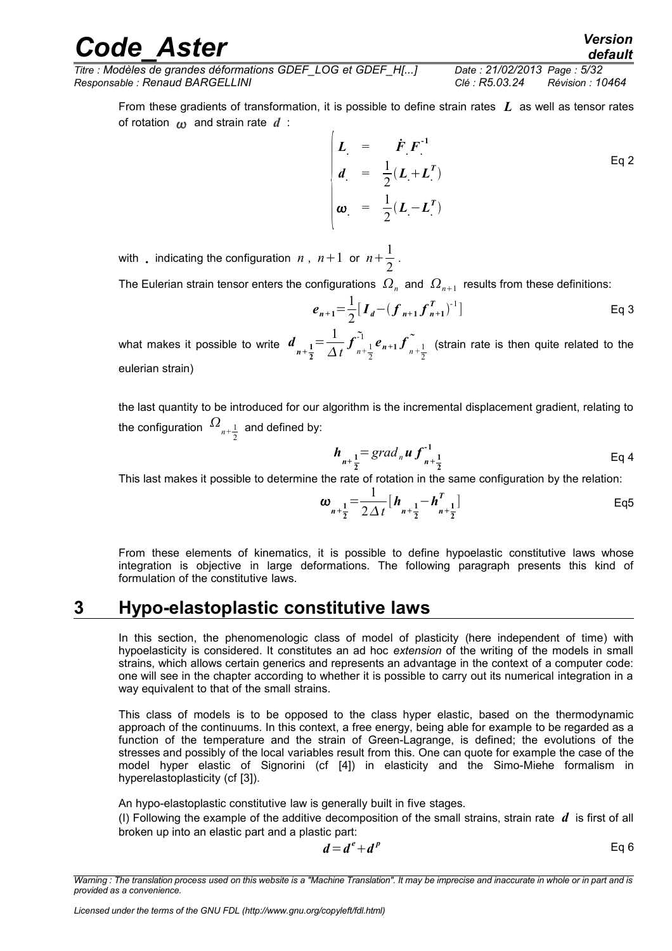*default*

*Titre : Modèles de grandes déformations GDEF\_LOG et GDEF\_H[...] Date : 21/02/2013 Page : 5/32 Responsable : Renaud BARGELLINI Clé : R5.03.24 Révision : 10464*

From these gradients of transformation, it is possible to define strain rates *L* as well as tensor rates of rotation  $\omega$  and strain rate  $d$  :

$$
\begin{cases}\n\boldsymbol{L} = \boldsymbol{F} \boldsymbol{F}^{-1} \\
\boldsymbol{d} = \frac{1}{2} (\boldsymbol{L} + \boldsymbol{L}^T) \\
\boldsymbol{\omega} = \frac{1}{2} (\boldsymbol{L} - \boldsymbol{L}^T)\n\end{cases} \qquad \qquad \text{Eq 2}
$$

with , indicating the configuration  $n$  ,  $n+1$  or  $n+\frac{1}{2}$  $\frac{1}{2}$ .

The Eulerian strain tensor enters the configurations  $\,\varOmega_{_{n}}\,$  and  $\,\varOmega_{_{n+1}}\,$  results from these definitions:

$$
e_{n+1} = \frac{1}{2} [I_d - (f_{n+1} f_{n+1}^T)^{-1}]
$$
 Eq 3

what makes it possible to write  $d_{n+\frac{1}{2}}$ **2**  $=\frac{1}{4}$ *t*  $f_{n+\frac{1}{2}}^{\widetilde{}}$ 2  $e_{n+1}$   $\sum_{n+1}^{\infty} e_{n+1} f_{n+\frac{1}{2}}$ 2 (strain rate is then quite related to the eulerian strain)

the last quantity to be introduced for our algorithm is the incremental displacement gradient, relating to the configuration  $\Omega_{n+\frac{1}{2}}$  $\frac{1}{2}$  and defined by:

$$
h_{n+\frac{1}{2}} = grad_n u f_{n+\frac{1}{2}}^{-1}
$$
 Eq 4

This last makes it possible to determine the rate of rotation in the same configuration by the relation:

$$
\omega_{n+\frac{1}{2}} = \frac{1}{2\Delta t} \left[ h_{n+\frac{1}{2}} - h_{n+\frac{1}{2}}^T \right]
$$
Eq5

From these elements of kinematics, it is possible to define hypoelastic constitutive laws whose integration is objective in large deformations. The following paragraph presents this kind of formulation of the constitutive laws.

### **3 Hypo-elastoplastic constitutive laws**

<span id="page-4-0"></span>In this section, the phenomenologic class of model of plasticity (here independent of time) with hypoelasticity is considered. It constitutes an ad hoc *extension* of the writing of the models in small strains, which allows certain generics and represents an advantage in the context of a computer code: one will see in the chapter according to whether it is possible to carry out its numerical integration in a way equivalent to that of the small strains.

This class of models is to be opposed to the class hyper elastic, based on the thermodynamic approach of the continuums. In this context, a free energy, being able for example to be regarded as a function of the temperature and the strain of Green-Lagrange, is defined; the evolutions of the stresses and possibly of the local variables result from this. One can quote for example the case of the model hyper elastic of Signorini (cf [4]) in elasticity and the Simo-Miehe formalism in hyperelastoplasticity (cf [3]).

An hypo-elastoplastic constitutive law is generally built in five stages.

(I) Following the example of the additive decomposition of the small strains, strain rate  $d$  is first of all broken up into an elastic part and a plastic part:

$$
d = d^e + d^p \tag{Eq 6}
$$

*Warning : The translation process used on this website is a "Machine Translation". It may be imprecise and inaccurate in whole or in part and is provided as a convenience.*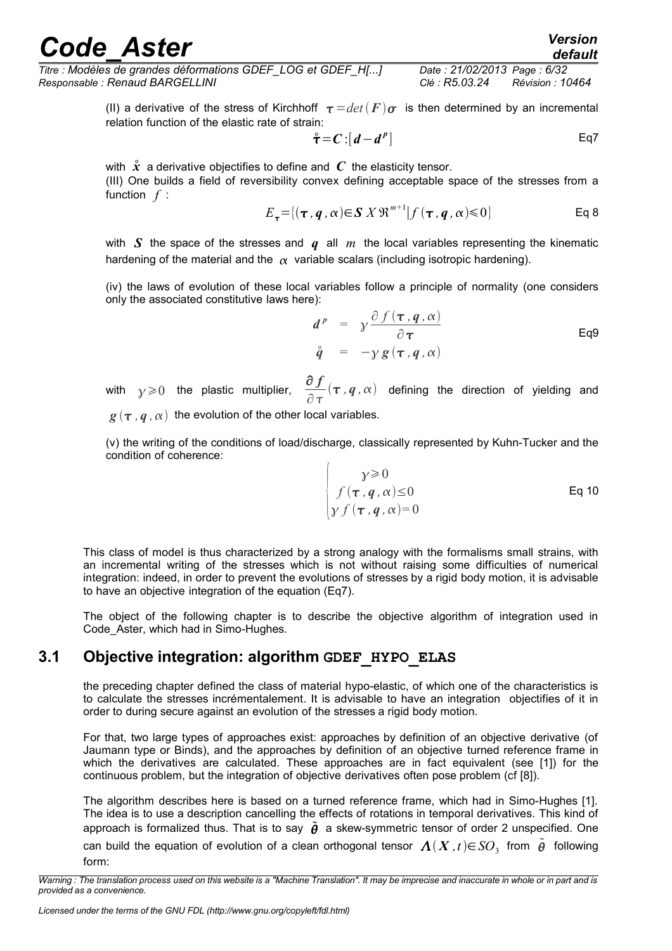*Titre : Modèles de grandes déformations GDEF\_LOG et GDEF\_H[...] Date : 21/02/2013 Page : 6/32 Responsable : Renaud BARGELLINI Clé : R5.03.24 Révision : 10464*

> (II) a derivative of the stress of Kirchhoff  $\tau = det(F)\sigma$  is then determined by an incremental relation function of the elastic rate of strain:

$$
\mathring{\tau} = C : [d - d^p]
$$
 Eq7

with  $\hat{x}$  a derivative objectifies to define and  $C$  the elasticity tensor. (III) One builds a field of reversibility convex defining acceptable space of the stresses from a function *f* :

$$
E_{\tau} = \{(\tau, q, \alpha) \in \mathbf{S} \, X \, \mathfrak{R}^{m+1} | f(\tau, q, \alpha) \leq 0 \}
$$
 Eq 8

with *S* the space of the stresses and *q* all *m* the local variables representing the kinematic hardening of the material and the  $\alpha$  variable scalars (including isotropic hardening).

(iv) the laws of evolution of these local variables follow a principle of normality (one considers only the associated constitutive laws here):

$$
d^{p} = \gamma \frac{\partial f(\tau, q, \alpha)}{\partial \tau}
$$
  
\n
$$
\hat{q} = -\gamma g(\tau, q, \alpha)
$$
Eq9

with  $\gamma \geqslant 0$  the plastic multiplier, ∂ *f*  $\partial \tau$  $(\tau, q, \alpha)$  defining the direction of yielding and

 $g(\tau, q, \alpha)$  the evolution of the other local variables.

(v) the writing of the conditions of load/discharge, classically represented by Kuhn-Tucker and the condition of coherence:

$$
\begin{cases}\n\gamma \geqslant 0 \\
f(\tau, q, \alpha) \leq 0 \\
\gamma f(\tau, q, \alpha) = 0\n\end{cases}
$$
\nEq 10

This class of model is thus characterized by a strong analogy with the formalisms small strains, with an incremental writing of the stresses which is not without raising some difficulties of numerical integration: indeed, in order to prevent the evolutions of stresses by a rigid body motion, it is advisable to have an objective integration of the equation (Eq7).

The object of the following chapter is to describe the objective algorithm of integration used in Code\_Aster, which had in Simo-Hughes.

### **3.1 Objective integration: algorithm GDEF\_HYPO\_ELAS**

<span id="page-5-0"></span>the preceding chapter defined the class of material hypo-elastic, of which one of the characteristics is to calculate the stresses incrémentalement. It is advisable to have an integration objectifies of it in order to during secure against an evolution of the stresses a rigid body motion.

For that, two large types of approaches exist: approaches by definition of an objective derivative (of Jaumann type or Binds), and the approaches by definition of an objective turned reference frame in which the derivatives are calculated. These approaches are in fact equivalent (see [1]) for the continuous problem, but the integration of objective derivatives often pose problem (cf [8]).

The algorithm describes here is based on a turned reference frame, which had in Simo-Hughes [1]. The idea is to use a description cancelling the effects of rotations in temporal derivatives. This kind of approach is formalized thus. That is to say  $\tilde{\theta}$  a skew-symmetric tensor of order 2 unspecified. One can build the equation of evolution of a clean orthogonal tensor  $\varLambda(X\,,t)\mathfrak{\in} SO_3^-$  from  $\stackrel{\sim}{{\theta}}$  following form:

*Warning : The translation process used on this website is a "Machine Translation". It may be imprecise and inaccurate in whole or in part and is provided as a convenience.*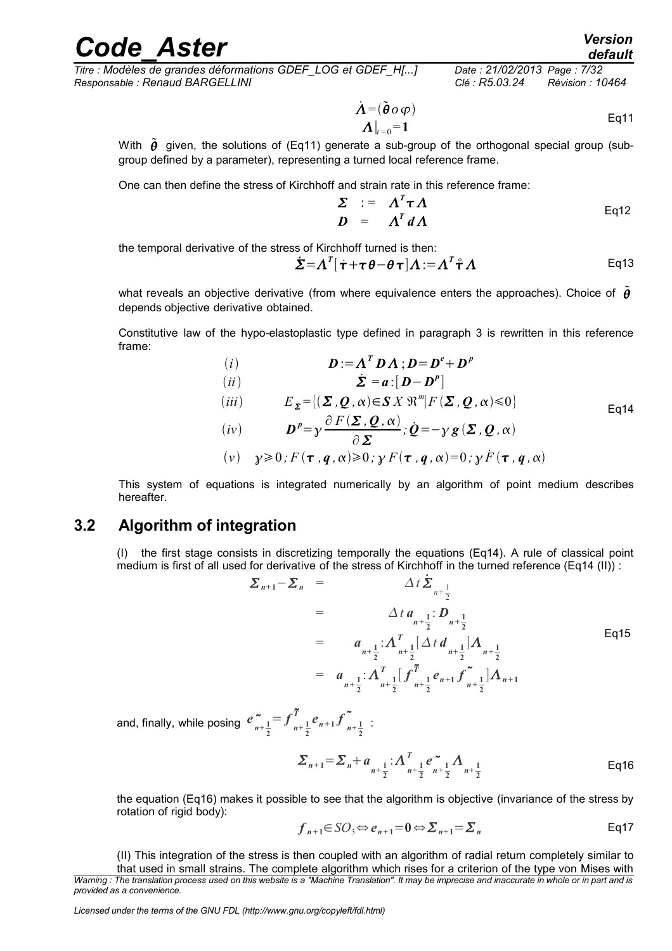*default*

*Titre : Modèles de grandes déformations GDEF\_LOG et GDEF\_H[...] Date : 21/02/2013 Page : 7/32 Responsable : Renaud BARGELLINI Clé : R5.03.24 Révision : 10464*

$$
\dot{\Lambda} = (\tilde{\boldsymbol{\theta}} \circ \varphi) \Lambda|_{t=0} = 1
$$
 Eq11

With  $\tilde{\theta}$  given, the solutions of (Eq11) generate a sub-group of the orthogonal special group (subgroup defined by a parameter), representing a turned local reference frame.

One can then define the stress of Kirchhoff and strain rate in this reference frame:

$$
\Sigma := \Lambda^T \tau \Lambda
$$
  

$$
D = \Lambda^T d \Lambda
$$
 Eq12

the temporal derivative of the stress of Kirchhoff turned is then:

$$
\dot{\Sigma} = \Lambda^T [\dot{\tau} + \tau \theta - \theta \tau] \Lambda := \Lambda^T \dot{\tau} \Lambda
$$
 Eq13

what reveals an objective derivative (from where equivalence enters the approaches). Choice of  $\tilde{\theta}$ depends objective derivative obtained.

Constitutive law of the hypo-elastoplastic type defined in paragraph 3 is rewritten in this reference frame:

(i) 
$$
D := A^T D A; D = D^e + D^p
$$
  
\n(ii) 
$$
\dot{\Sigma} = a : [D - D^p]
$$
  
\n(iii) 
$$
E_{\Sigma} = \{(\Sigma, Q, \alpha) \in S X \mathbb{R}^m | F(\Sigma, Q, \alpha) \le 0\}
$$
  
\n(iv) 
$$
D^p = \gamma \frac{\partial F(\Sigma, Q, \alpha)}{\partial \Sigma}; Q = -\gamma g(\Sigma, Q, \alpha)
$$
  
\n(v) 
$$
\gamma \ge 0; F(\tau, q, \alpha) \ge 0; \gamma F(\tau, q, \alpha) = 0; \gamma F(\tau, q, \alpha)
$$

This system of equations is integrated numerically by an algorithm of point medium describes hereafter.

### **3.2 Algorithm of integration**

<span id="page-6-0"></span>(I) the first stage consists in discretizing temporally the equations (Eq14). A rule of classical point medium is first of all used for derivative of the stress of Kirchhoff in the turned reference (Eq14 (II)) :

$$
\Sigma_{n+1} - \Sigma_n = \Delta t \, \Sigma_{n+\frac{1}{2}} \n= \Delta t \, a_{n+\frac{1}{2}} \, D_{n+\frac{1}{2}} \n= a_{n+\frac{1}{2}} \, \Delta_{n+\frac{1}{2}}^T [\Delta t \, d_{n+\frac{1}{2}}] \Delta_{n+\frac{1}{2}} \n= a_{n+\frac{1}{2}} \, \Delta_{n+\frac{1}{2}}^T [f \tilde{T}_{n+\frac{1}{2}}^T e_{n+1} f \tilde{T}_{n+\frac{1}{2}}^T] \Delta_{n+1}
$$

and, finally, while posing  $e_{n+\frac{1}{2}}^{\sim}$ **2**  $=f^{\tilde{T}}_{n+\frac{1}{2}}$ **2**  $\sum_{n+1}^{T} e_{n+1} f_{n+\frac{1}{2}}^{\sim}$ **2** :

$$
\sum_{n+1} = \sum_{n+1}^{n} a_n + \sum_{n+1}^{n} \sum_{n+2}^{n} c_{n+1}^2 \Lambda_{n+1} + \sum_{n+2}^{n} \sum_{n+3}^{n} \Gamma(n+1) \tag{Eq16}
$$

the equation (Eq16) makes it possible to see that the algorithm is objective (invariance of the stress by rotation of rigid body):

$$
f_{n+1} \in SO_3 \Leftrightarrow e_{n+1} = 0 \Leftrightarrow \Sigma_{n+1} = \Sigma_n
$$
 Eq17

(II) This integration of the stress is then coupled with an algorithm of radial return completely similar to that used in small strains. The complete algorithm which rises for a criterion of the type von Mises with *Warning : The translation process used on this website is a "Machine Translation". It may be imprecise and inaccurate in whole or in part and is provided as a convenience.*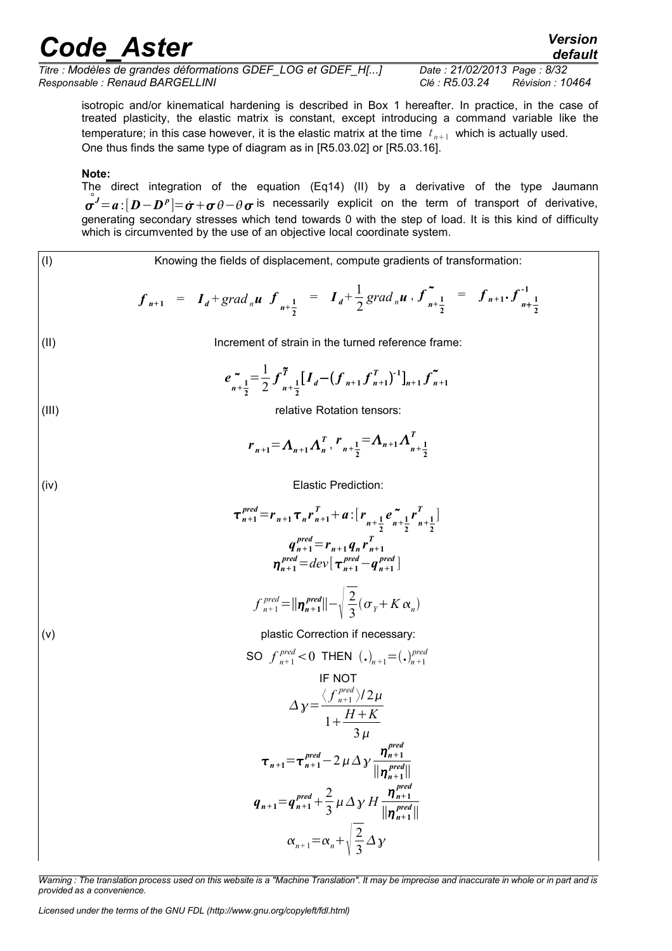*default*

*Titre : Modèles de grandes déformations GDEF\_LOG et GDEF\_H[...] Date : 21/02/2013 Page : 8/32 Responsable : Renaud BARGELLINI Clé : R5.03.24 Révision : 10464*

isotropic and/or kinematical hardening is described in Box 1 hereafter. In practice, in the case of treated plasticity, the elastic matrix is constant, except introducing a command variable like the temperature; in this case however, it is the elastic matrix at the time  $|t_{n+1}|$  which is actually used. One thus finds the same type of diagram as in [R5.03.02] or [R5.03.16].

#### **Note:**

The direct integration of the equation (Eq14) (II) by a derivative of the type Jaumann  $\mathring{\bm{\sigma}^J}\!\!=\!\bm{a}\!:\![\bm{D}\!-\!\bm{D}^p]\!\!=\!\vec{\bm{\sigma}}\!+\!\bm{\sigma}\,\theta\!-\!\theta\,\bm{\sigma}$  is necessarily explicit on the term of transport of derivative, generating secondary stresses which tend towards 0 with the step of load. It is this kind of difficulty which is circumvented by the use of an objective local coordinate system.

(1)  
\nKnowing the fields of displacement, compute gradients of transformation:  
\n
$$
f_{n+1} = I_d + grad_n u \t f_{n+\frac{1}{2}} = I_d + \frac{1}{2} grad_n u \t f_{n+\frac{1}{2}}^{\dagger} = f_{n+1} f_{n+\frac{1}{2}}^{\dagger}
$$
\n(1)  
\nIncrement of strain in the turned reference frame:  
\n
$$
e_{n+\frac{1}{2}}^{\dagger} = \frac{1}{2} f_{n+\frac{1}{2}}^{\dagger} [I_d - (f_{n+1} f_{n+1}^{\dagger})^{-1}]_{n+1} f_{n+1}^{\dagger}
$$
\n(11)  
\nrelative Rotation tensors:  
\n
$$
r_{n+1} = \Lambda_{n+1} \Lambda_n^{\dagger} r_{n+\frac{1}{2}} = \Lambda_{n+1} \Lambda_{n+\frac{1}{2}}^{\dagger}
$$
\n(12)  
\nElastic Prediction:  
\n
$$
\tau_{n+1}^{pred} = r_{n+1} \tau_n r_{n+1}^{\dagger} + a : [r_{n+\frac{1}{2}} e_{n+\frac{1}{2}}^{\dagger} r_{n+\frac{1}{2}}^{\dagger}]
$$
\n
$$
q_{n+1}^{pred} = r_{n+1} q_n r_{n+1}^{\dagger}
$$
\n
$$
r_{n+1}^{pred} = dev[r_{n+1}^{pred} - q_{n+1}^{pred}]
$$
\n
$$
f_{n+1}^{pred} = dev[r_{n+1}^{pred} - q_{n+1}^{pred}]
$$
\n
$$
f_{n+1}^{pred} = |n_{n+1}^{pred}| - \sqrt{\frac{2}{3}} ( \sigma_v + K \alpha_n )
$$
\n(16)  
\nplastic Correction if necessary:  
\nSO  $f_{n+1}^{pred} < 0$  THEN  $(. )_{n+1} = ( . )_{n+1}^{pred}$   
\nIF NOT  
\n
$$
\Delta y = \frac{\langle f_{n+1}^{pred} \rangle 2 \mu}{1 + \frac{H + K}{3}} \tau_{n+1} = \tau_{n+1}^{pred} - 2 \mu \Delta y \t \frac{\eta_{n+1}^{pred}}{\eta_{n+1}^{pred}} = \tau_{n+1} + \frac{q_{n+1}}{3} \mu \Delta y \t \frac{\eta_{n+1}^{pred}}{\eta_{n+1}^{
$$

*Warning : The translation process used on this website is a "Machine Translation". It may be imprecise and inaccurate in whole or in part and is provided as a convenience.*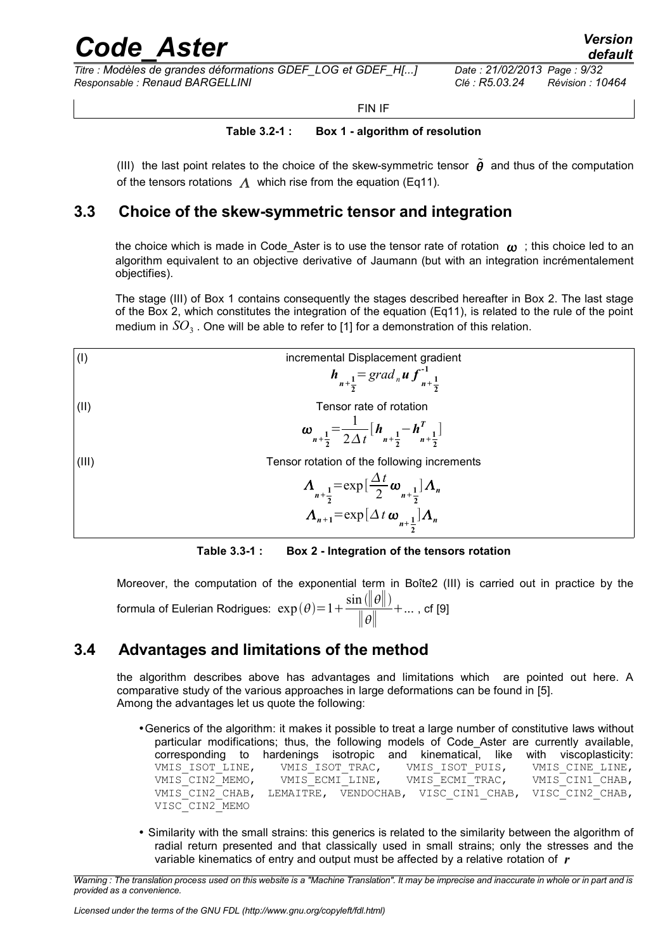*Titre : Modèles de grandes déformations GDEF\_LOG et GDEF\_H[...] Date : 21/02/2013 Page : 9/32 Responsable : Renaud BARGELLINI Clé : R5.03.24 Révision : 10464*

*default*

FIN IF

#### **Table 3.2-1 : Box 1 - algorithm of resolution**

(III) the last point relates to the choice of the skew-symmetric tensor  $\tilde{\theta}$  and thus of the computation of the tensors rotations  $\Lambda$  which rise from the equation (Eq11).

### **3.3 Choice of the skew-symmetric tensor and integration**

<span id="page-8-1"></span>the choice which is made in Code. Aster is to use the tensor rate of rotation  $\omega$ ; this choice led to an algorithm equivalent to an objective derivative of Jaumann (but with an integration incrémentalement objectifies).

The stage (III) of Box 1 contains consequently the stages described hereafter in Box 2. The last stage of the Box 2, which constitutes the integration of the equation (Eq11), is related to the rule of the point medium in  $SO_3$  . One will be able to refer to [1] for a demonstration of this relation.



**Table 3.3-1 : Box 2 - Integration of the tensors rotation**

Moreover, the computation of the exponential term in Boîte2 (III) is carried out in practice by the formula of Eulerian Rodrigues:  $\exp(\theta)$ = 1 +  $\frac{\sin(\|\theta\|)}{\| \cdot \|}$ ∥∥  $+...$ , cf  $[9]$ 

### **3.4 Advantages and limitations of the method**

<span id="page-8-0"></span>the algorithm describes above has advantages and limitations which are pointed out here. A comparative study of the various approaches in large deformations can be found in [5]. Among the advantages let us quote the following:

- •Generics of the algorithm: it makes it possible to treat a large number of constitutive laws without particular modifications; thus, the following models of Code\_Aster are currently available, corresponding to hardenings isotropic and kinematical, like with viscoplasticity: VMIS\_ISOT\_LINE, WMIS\_ISOT\_TRAC, WMIS\_ISOT\_PUIS, VMIS\_CINE\_LINE, VMIS\_CIN2\_MEMO, VMIS\_ECMI\_LINE, VMIS\_ECMI\_TRAC, VMIS\_CIN1\_CHAB, VMIS\_CIN2\_MEMO, VMIS\_ECMI\_LINE, VMIS\_ECMI\_TRAC, VMIS\_CIN1\_CHAB,<br>VMIS\_CIN2\_CHAB, LEMAITRE, VENDOCHAB, VISC\_CIN1\_CHAB, VISC\_CIN2\_CHAB, VISC\_CIN2\_MEMO
- Similarity with the small strains: this generics is related to the similarity between the algorithm of radial return presented and that classically used in small strains; only the stresses and the variable kinematics of entry and output must be affected by a relative rotation of *r*

*Warning : The translation process used on this website is a "Machine Translation". It may be imprecise and inaccurate in whole or in part and is provided as a convenience.*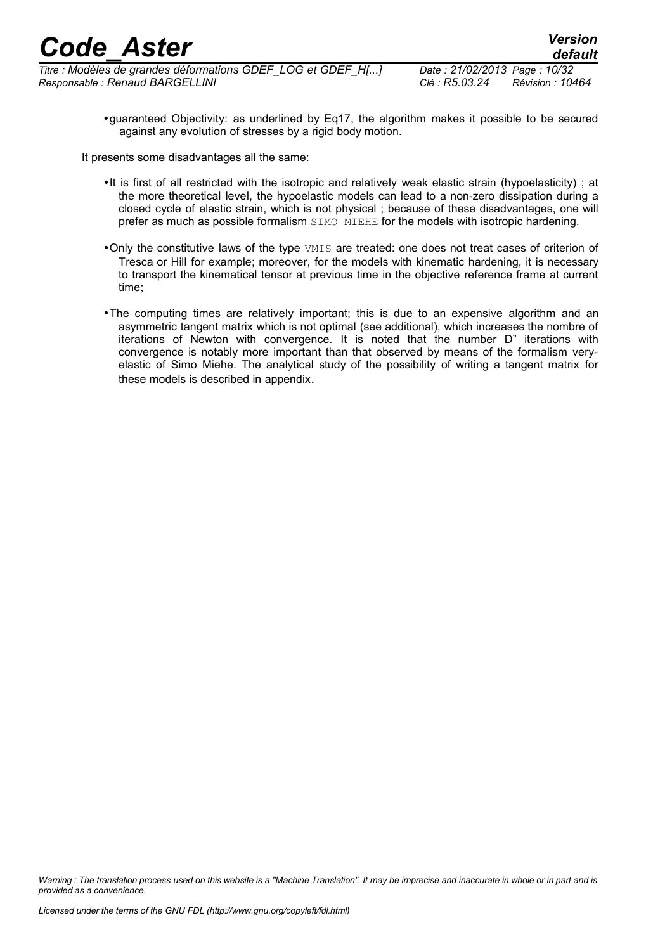*Titre : Modèles de grandes déformations GDEF\_LOG et GDEF\_H[...] Date : 21/02/2013 Page : 10/32 Responsable : Renaud BARGELLINI Clé : R5.03.24 Révision : 10464*

*default*

•guaranteed Objectivity: as underlined by Eq17, the algorithm makes it possible to be secured against any evolution of stresses by a rigid body motion.

It presents some disadvantages all the same:

- •It is first of all restricted with the isotropic and relatively weak elastic strain (hypoelasticity) ; at the more theoretical level, the hypoelastic models can lead to a non-zero dissipation during a closed cycle of elastic strain, which is not physical ; because of these disadvantages, one will prefer as much as possible formalism SIMO\_MIEHE for the models with isotropic hardening.
- •Only the constitutive laws of the type VMIS are treated: one does not treat cases of criterion of Tresca or Hill for example; moreover, for the models with kinematic hardening, it is necessary to transport the kinematical tensor at previous time in the objective reference frame at current time;
- •The computing times are relatively important; this is due to an expensive algorithm and an asymmetric tangent matrix which is not optimal (see additional), which increases the nombre of iterations of Newton with convergence. It is noted that the number D" iterations with convergence is notably more important than that observed by means of the formalism veryelastic of Simo Miehe. The analytical study of the possibility of writing a tangent matrix for these models is described in appendix.

*Warning : The translation process used on this website is a "Machine Translation". It may be imprecise and inaccurate in whole or in part and is provided as a convenience.*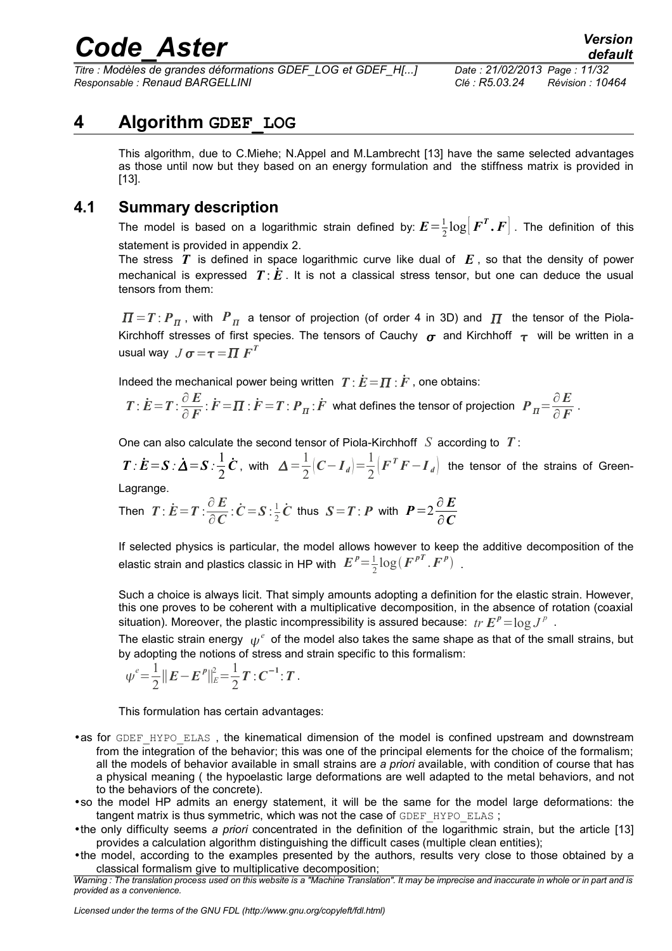*Titre : Modèles de grandes déformations GDEF\_LOG et GDEF\_H[...] Date : 21/02/2013 Page : 11/32 Responsable : Renaud BARGELLINI Clé : R5.03.24 Révision : 10464*

## **4 Algorithm GDEF\_LOG**

<span id="page-10-1"></span>This algorithm, due to C.Miehe; N.Appel and M.Lambrecht [13] have the same selected advantages as those until now but they based on an energy formulation and the stiffness matrix is provided in [13].

### **4.1 Summary description**

<span id="page-10-0"></span>The model is based on a logarithmic strain defined by:  $E = \frac{1}{2}$  $\frac{1}{2} \log \bigl[ \boldsymbol{F}^{\boldsymbol{T}} \boldsymbol{.} \boldsymbol{F} \bigr]$  . The definition of this statement is provided in appendix 2.

The stress  $T$  is defined in space logarithmic curve like dual of  $E$ , so that the density of power mechanical is expressed  $T \cdot E$ . It is not a classical stress tensor, but one can deduce the usual tensors from them:

 $\bm{\varPi}=\bm{T}$  :  $\bm{P}_{\bm{\varPi}}$  , with  $|\bm{P}_{\bm{\varPi}}|$  a tensor of projection (of order 4 in 3D) and  $|\bm{\varPi}|$  the tensor of the Piola-Kirchhoff stresses of first species. The tensors of Cauchy  $\sigma$  and Kirchhoff  $\tau$  will be written in a usual way  $\; J \, \sigma \! = \! \tau \! = \! \varPi \; F^T$ 

Indeed the mechanical power being written  $T \cdot \dot{E} = \Pi \cdot \dot{F}$ , one obtains:

$$
T: \dot{E} = T: \frac{\partial E}{\partial F}: \dot{F} = \Pi: \dot{F} = T: P_{\Pi}: \dot{F} \text{ what defines the tensor of projection } P_{\Pi} = \frac{\partial E}{\partial F}.
$$

One can also calculate the second tensor of Piola-Kirchhoff *S* according to *T* :

 $T: \dot{E} = S : \dot{\Delta} = S : \frac{1}{2}$  $\frac{1}{2}\dot{\boldsymbol{C}}$ , with  $\Delta = \frac{1}{2}$  $\frac{1}{2}(C-I_d) = \frac{1}{2}$  $\frac{1}{2}$  $\left( F^T F - I_d \right)$  the tensor of the strains of Green-

Lagrange.

Then 
$$
T: \dot{E} = T: \frac{\partial E}{\partial C} : \dot{C} = S: \frac{1}{2} \dot{C}
$$
 thus  $S = T: P$  with  $P = 2 \frac{\partial E}{\partial C}$ 

If selected physics is particular, the model allows however to keep the additive decomposition of the elastic strain and plastics classic in HP with  $|E|^p{=} \frac{1}{2}{\log (F^{pT} \cdot F^p)}$  .

Such a choice is always licit. That simply amounts adopting a definition for the elastic strain. However, this one proves to be coherent with a multiplicative decomposition, in the absence of rotation (coaxial situation). Moreover, the plastic incompressibility is assured because:  $\mathit{tr}\ \pmb{E}^p\!=\!\log J^p$  .

The elastic strain energy  $\,\psi^{\,e}\,$  of the model also takes the same shape as that of the small strains, but by adopting the notions of stress and strain specific to this formalism:

$$
\psi^e = \frac{1}{2} ||E - E^P||_E^2 = \frac{1}{2} T : C^{-1} : T.
$$

This formulation has certain advantages:

•as for GDEF\_HYPO\_ELAS, the kinematical dimension of the model is confined upstream and downstream from the integration of the behavior; this was one of the principal elements for the choice of the formalism; all the models of behavior available in small strains are *a priori* available, with condition of course that has a physical meaning ( the hypoelastic large deformations are well adapted to the metal behaviors, and not to the behaviors of the concrete).

•so the model HP admits an energy statement, it will be the same for the model large deformations: the tangent matrix is thus symmetric, which was not the case of GDEF HYPO ELAS;

•the only difficulty seems *a priori* concentrated in the definition of the logarithmic strain, but the article [13] provides a calculation algorithm distinguishing the difficult cases (multiple clean entities);

•the model, according to the examples presented by the authors, results very close to those obtained by a classical formalism give to multiplicative decomposition;

*Warning : The translation process used on this website is a "Machine Translation". It may be imprecise and inaccurate in whole or in part and is provided as a convenience.*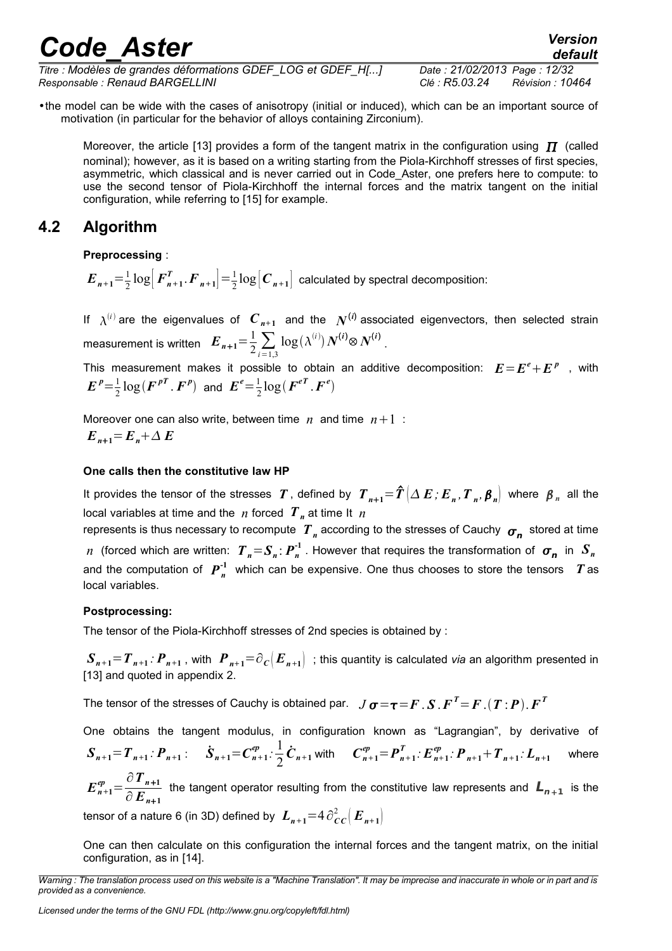*Titre : Modèles de grandes déformations GDEF\_LOG et GDEF\_H[...] Date : 21/02/2013 Page : 12/32 Responsable : Renaud BARGELLINI Clé : R5.03.24 Révision : 10464*

*default*

•the model can be wide with the cases of anisotropy (initial or induced), which can be an important source of motivation (in particular for the behavior of alloys containing Zirconium).

Moreover, the article [13] provides a form of the tangent matrix in the configuration using  $\Pi$  (called nominal); however, as it is based on a writing starting from the Piola-Kirchhoff stresses of first species, asymmetric, which classical and is never carried out in Code\_Aster, one prefers here to compute: to use the second tensor of Piola-Kirchhoff the internal forces and the matrix tangent on the initial configuration, while referring to [15] for example.

### **4.2 Algorithm**

<span id="page-11-0"></span>**Preprocessing** :

 $E_{n+1} = \frac{1}{2}$  $\frac{1}{2}$  log  $\left[ F_{n+1}^T \cdot F_{n+1} \right] = \frac{1}{2}$  $\frac{1}{2} \log |C_{n+1}|$  calculated by spectral decomposition:

If  $\lambda^{(i)}$  are the eigenvalues of  $C_{n+1}$  and the  $N^{(i)}$  associated eigenvectors, then selected strain measurement is written  $\mathbf{E}_{n+1} = \frac{1}{2} \sum_{i=1,3}$  $\log(\lambda^{(i)}) N^{(i)} \otimes N^{(i)}$ .

This measurement makes it possible to obtain an additive decomposition:  $E = E^e + E^p$  , with  $E^{p} = \frac{1}{2}$  $\frac{1}{2}\log(\boldsymbol{F}^{pT}\cdot\boldsymbol{F}^{p})$  and  $\boldsymbol{E}^{e}=\frac{1}{2}$  $\frac{1}{2}$ log $(\boldsymbol{F}^{e\boldsymbol{T}}$ . $\boldsymbol{F}^{e})$ 

Moreover one can also write, between time  $n$  and time  $n+1$ :  $E_{n+1} = E_n + \Delta E$ 

#### **One calls then the constitutive law HP**

It provides the tensor of the stresses  $~T$  , defined by  $~T_{~n+1}$   $=$   $\hat T\left(\Delta~E$  ;  $E_{~n}$  ,  $T_{~n}$  ,  $\pmb{\beta}_{~n}\right|$  where  $~\pmb{\beta}_{~n}$  all the local variables at time and the *n* forced  $T<sub>n</sub>$  at time It *n* 

represents is thus necessary to recompute  $T$ <sub>n</sub> according to the stresses of Cauchy  $\sigma_{\bm{n}}^{\phantom{\dag}}$  stored at time *n* (forced which are written:  $T_{n} = S_{n}$ :  $P_{n}^{-1}$  . However that requires the transformation of  $\sigma_{n}$  in  $S_{n}$ and the computation of  $P_n^{-1}$  which can be expensive. One thus chooses to store the tensors  $T$  as local variables.

#### **Postprocessing:**

The tensor of the Piola-Kirchhoff stresses of 2nd species is obtained by :

 ${\bm S}_{n+1}\!=\!{\bm T}_{n+1}\!:\bm P_{n+1}$  , with  $\|{\bm P}_{n+1}\!=\!\partial_C\big({\bm E}_{n+1}\big)\|$  ; this quantity is calculated *via* an algorithm presented in [13] and quoted in appendix 2.

The tensor of the stresses of Cauchy is obtained par.  $~J$   $\bm{\sigma}\!=\!\bm{\tau}\!=\!\bm{F}$  .  $\bm{S}$  .  $\bm{F}^T\!\!=\!\bm{F}$  .  $(\bm{T}$  :  $\bm{P})$  .  $\bm{F}^T$ 

One obtains the tangent modulus, in configuration known as "Lagrangian", by derivative of  $S_{n+1} = T_{n+1}$ :  $P_{n+1}$ :  $\dot{S}_{n+1} = C_{n+1}^{ep}$ :  $\frac{1}{2}$  $\frac{1}{2}\dot{\boldsymbol{C}}_{n+1}$  with  $\boldsymbol{C}_{n+1}^{ep} = \boldsymbol{P}_{n+1}^T \cdot \boldsymbol{E}_{n+1}^{ep} \cdot \boldsymbol{P}_{n+1} + \boldsymbol{T}_{n+1} \cdot \boldsymbol{L}_{n+1}$  where  $E_{n+1}^{ep} = \frac{\partial T_{n+1}}{\partial F}$  $\frac{\partial^2 P_{n+1}}{\partial E_{n+1}}$  the tangent operator resulting from the constitutive law represents and  $L_{n+1}$  is the

tensor of a nature 6 (in 3D) defined by  $\bm{L}_{n+1}{=}\mathbb{4}\,\partial_{\bm{C}\bm{C}}^2\big(\bm{E}_{n+1}\big)$ 

One can then calculate on this configuration the internal forces and the tangent matrix, on the initial configuration, as in [14].

*Warning : The translation process used on this website is a "Machine Translation". It may be imprecise and inaccurate in whole or in part and is provided as a convenience.*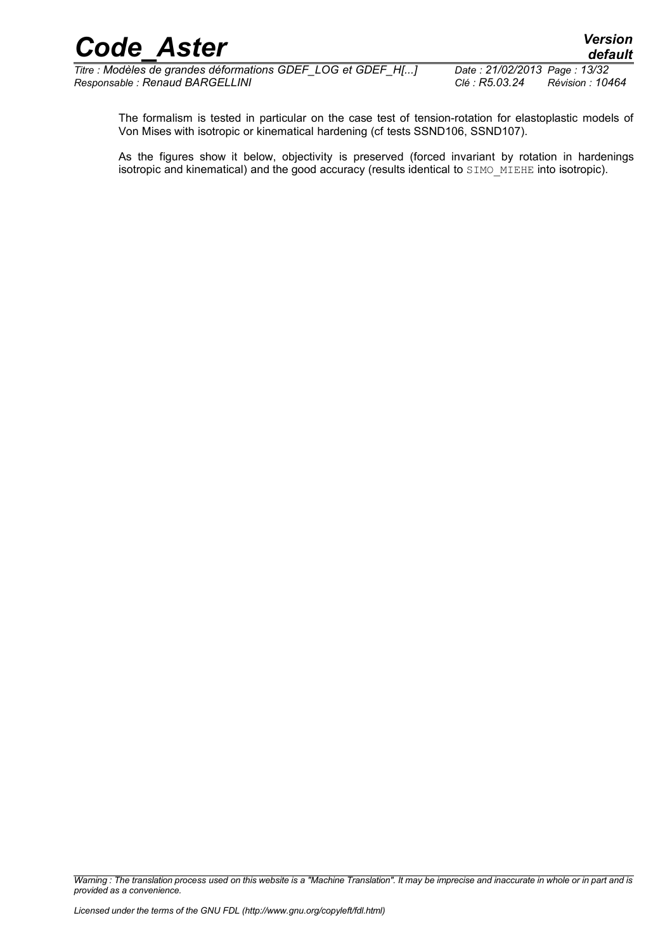$\overline{T}$ *Titre : Modèles de grandes déformations GDEF\_LOG et GDEF\_H[...] Responsable : Renaud BARGELLINI Clé : R5.03.24 Révision : 10464*

The formalism is tested in particular on the case test of tension-rotation for elastoplastic models of Von Mises with isotropic or kinematical hardening (cf tests SSND106, SSND107).

As the figures show it below, objectivity is preserved (forced invariant by rotation in hardenings isotropic and kinematical) and the good accuracy (results identical to SIMO\_MIEHE into isotropic).

*Warning : The translation process used on this website is a "Machine Translation". It may be imprecise and inaccurate in whole or in part and is provided as a convenience.*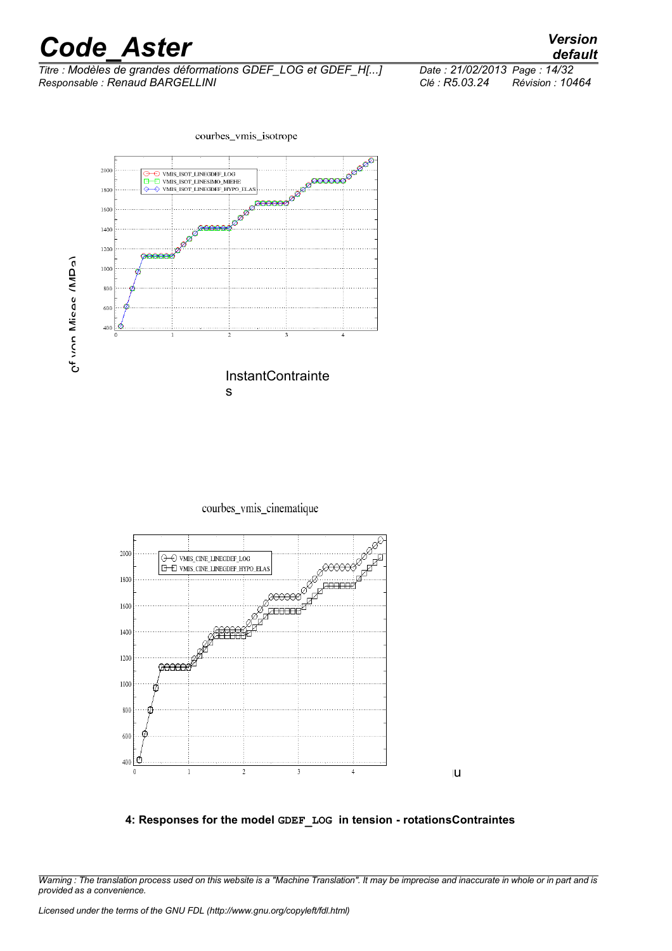*Titre : Modèles de grandes déformations GDEF\_LOG et GDEF\_H[...] Date : 21/02/2013 Page : 14/32 Responsable : Renaud BARGELLINI Clé : R5.03.24 Révision : 10464*



courbes\_vmis\_cinematique



#### **4: Responses for the model GDEF\_LOG in tension - rotationsContraintes**

lu<sub>s</sub>

*Warning : The translation process used on this website is a "Machine Translation". It may be imprecise and inaccurate in whole or in part and is provided as a convenience.*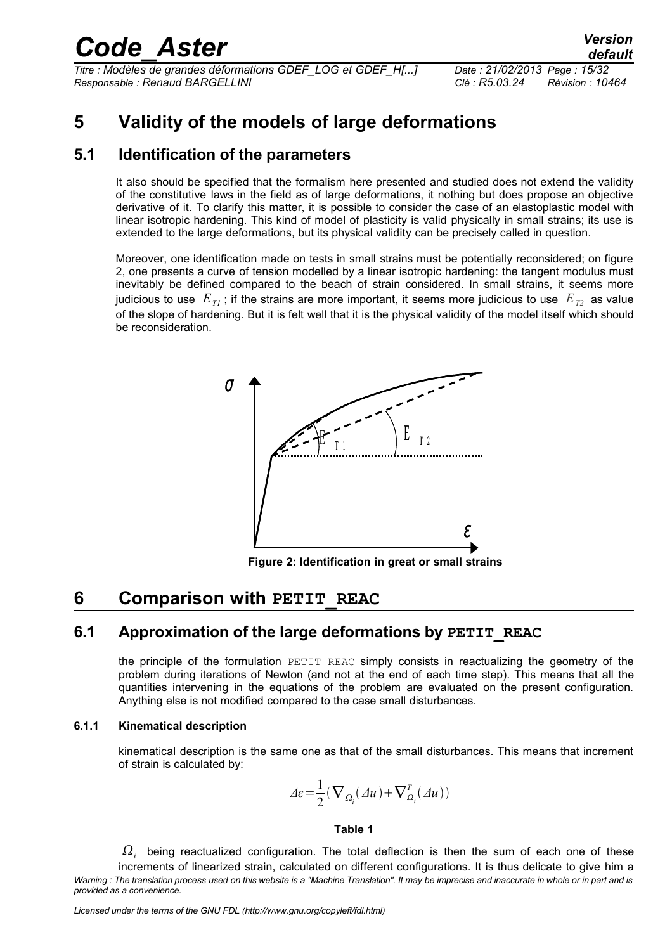*Titre : Modèles de grandes déformations GDEF\_LOG et GDEF\_H[...] Date : 21/02/2013 Page : 15/32 Responsable : Renaud BARGELLINI Clé : R5.03.24 Révision : 10464*

### <span id="page-14-3"></span>**5 Validity of the models of large deformations**

### **5.1 Identification of the parameters**

<span id="page-14-2"></span>It also should be specified that the formalism here presented and studied does not extend the validity of the constitutive laws in the field as of large deformations, it nothing but does propose an objective derivative of it. To clarify this matter, it is possible to consider the case of an elastoplastic model with linear isotropic hardening. This kind of model of plasticity is valid physically in small strains; its use is extended to the large deformations, but its physical validity can be precisely called in question.

Moreover, one identification made on tests in small strains must be potentially reconsidered; on figure 2, one presents a curve of tension modelled by a linear isotropic hardening: the tangent modulus must inevitably be defined compared to the beach of strain considered. In small strains, it seems more judicious to use  $E_{T1}$ ; if the strains are more important, it seems more judicious to use  $E_{T2}$  as value of the slope of hardening. But it is felt well that it is the physical validity of the model itself which should be reconsideration.



**Figure 2: Identification in great or small strains**

### <span id="page-14-1"></span>**6 Comparison with PETIT REAC**

### **6.1 Approximation of the large deformations by PETIT\_REAC**

<span id="page-14-0"></span>the principle of the formulation PETIT REAC simply consists in reactualizing the geometry of the problem during iterations of Newton (and not at the end of each time step). This means that all the quantities intervening in the equations of the problem are evaluated on the present configuration. Anything else is not modified compared to the case small disturbances.

#### **6.1.1 Kinematical description**

kinematical description is the same one as that of the small disturbances. This means that increment of strain is calculated by:

$$
\Delta \varepsilon = \frac{1}{2} \left( \nabla_{\Omega_i} (\Delta u) + \nabla_{\Omega_i}^T (\Delta u) \right)
$$

#### **Table 1**

 $\Omega_i^-$  being reactualized configuration. The total deflection is then the sum of each one of these increments of linearized strain, calculated on different configurations. It is thus delicate to give him a *Warning : The translation process used on this website is a "Machine Translation". It may be imprecise and inaccurate in whole or in part and is provided as a convenience.*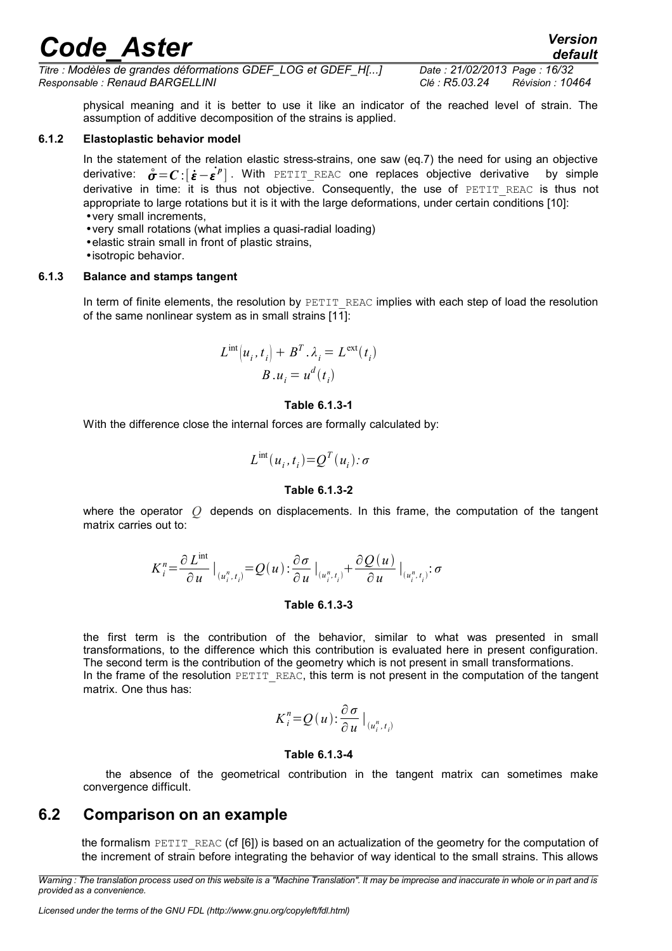*default*

*Titre : Modèles de grandes déformations GDEF\_LOG et GDEF\_H[...] Date : 21/02/2013 Page : 16/32 Responsable : Renaud BARGELLINI Clé : R5.03.24 Révision : 10464*

physical meaning and it is better to use it like an indicator of the reached level of strain. The assumption of additive decomposition of the strains is applied.

#### **6.1.2 Elastoplastic behavior model**

In the statement of the relation elastic stress-strains, one saw (eq.7) the need for using an objective derivative:  $\overset{\circ}{\sigma} = \mathcal{C}$  : $[\dot{\bm{\varepsilon}} - \dot{\bm{\varepsilon}}^p]$  . With <code>PETIT\_REAC</code> one replaces objective derivative by simple derivative in time: it is thus not objective. Consequently, the use of PETIT REAC is thus not appropriate to large rotations but it is it with the large deformations, under certain conditions [10]: •very small increments,

- •very small rotations (what implies a quasi-radial loading)
- •elastic strain small in front of plastic strains,
- •isotropic behavior.

#### **6.1.3 Balance and stamps tangent**

In term of finite elements, the resolution by PETIT\_REAC implies with each step of load the resolution of the same nonlinear system as in small strains [11]:

$$
L^{\text{int}}(u_i, t_i) + B^T \cdot \lambda_i = L^{\text{ext}}(t_i)
$$

$$
B \cdot u_i = u^d(t_i)
$$

#### **Table 6.1.3-1**

With the difference close the internal forces are formally calculated by:

$$
L^{\text{int}}(u_i,t_i) = Q^T(u_i): \sigma
$$

#### **Table 6.1.3-2**

where the operator *Q* depends on displacements. In this frame, the computation of the tangent matrix carries out to:

$$
K_i^n = \frac{\partial L^{\text{int}}}{\partial u} \big|_{(u_i^n, t_i)} = Q(u) : \frac{\partial \sigma}{\partial u} \big|_{(u_i^n, t_i)} + \frac{\partial Q(u)}{\partial u} \big|_{(u_i^n, t_i)} : \sigma
$$

#### **Table 6.1.3-3**

the first term is the contribution of the behavior, similar to what was presented in small transformations, to the difference which this contribution is evaluated here in present configuration. The second term is the contribution of the geometry which is not present in small transformations. In the frame of the resolution PETIT\_REAC, this term is not present in the computation of the tangent matrix. One thus has:

$$
K_i^n=Q(u):\frac{\partial\sigma}{\partial u}\big|_{(u_i^n,t_i)}
$$

#### **Table 6.1.3-4**

the absence of the geometrical contribution in the tangent matrix can sometimes make convergence difficult.

### **6.2 Comparison on an example**

<span id="page-15-0"></span>the formalism  $PETIT$  REAC (cf  $[6]$ ) is based on an actualization of the geometry for the computation of the increment of strain before integrating the behavior of way identical to the small strains. This allows

*Warning : The translation process used on this website is a "Machine Translation". It may be imprecise and inaccurate in whole or in part and is provided as a convenience.*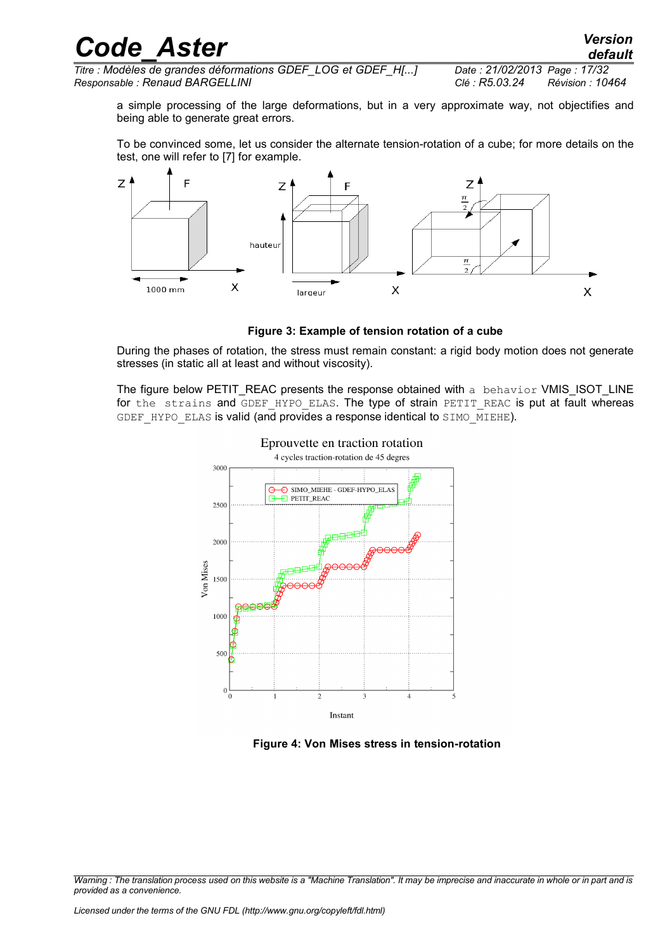| <b>Code Aster</b> | <b>Version</b> |
|-------------------|----------------|
|                   | default        |

*Titre : Modèles de grandes déformations GDEF\_LOG et GDEF\_H[...] Date : 21/02/2013 Page : 17/32 Responsable : Renaud BARGELLINI Clé : R5.03.24 Révision : 10464*

a simple processing of the large deformations, but in a very approximate way, not objectifies and being able to generate great errors.

To be convinced some, let us consider the alternate tension-rotation of a cube; for more details on the test, one will refer to [7] for example.



**Figure 3: Example of tension rotation of a cube**

During the phases of rotation, the stress must remain constant: a rigid body motion does not generate stresses (in static all at least and without viscosity).

The figure below PETIT\_REAC presents the response obtained with a behavior VMIS\_ISOT\_LINE for the strains and GDEF HYPO ELAS. The type of strain PETIT REAC is put at fault whereas GDEF HYPO ELAS is valid (and provides a response identical to SIMO MIEHE).



 **Figure 4: Von Mises stress in tension-rotation**

*Warning : The translation process used on this website is a "Machine Translation". It may be imprecise and inaccurate in whole or in part and is provided as a convenience.*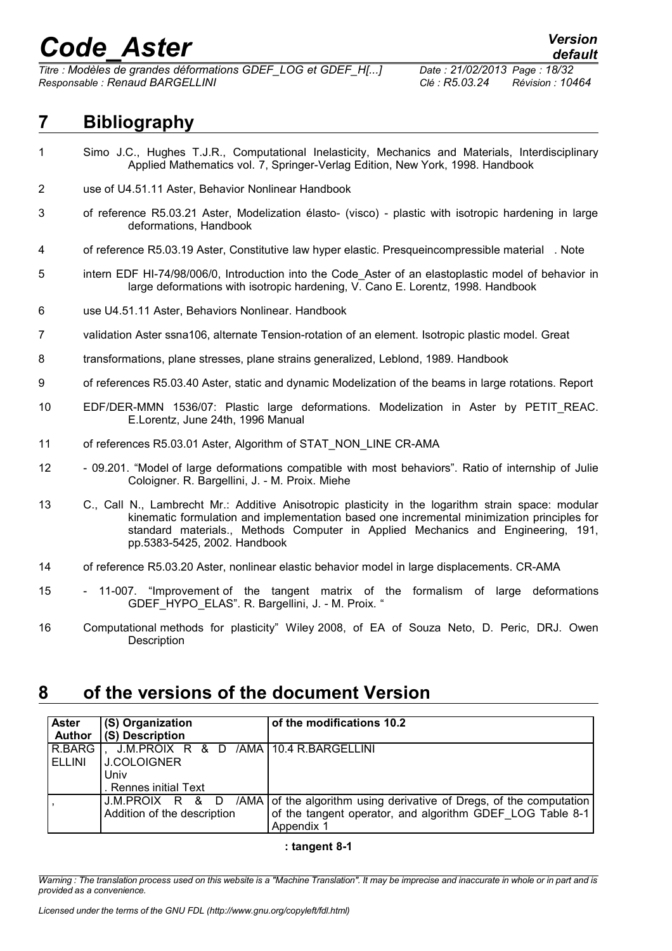*Titre : Modèles de grandes déformations GDEF\_LOG et GDEF\_H[...] Date : 21/02/2013 Page : 18/32 Responsable : Renaud BARGELLINI Clé : R5.03.24 Révision : 10464*

## <span id="page-17-1"></span>**7 Bibliography**

- 1 Simo J.C., Hughes T.J.R., Computational Inelasticity, Mechanics and Materials, Interdisciplinary Applied Mathematics vol. 7, Springer-Verlag Edition, New York, 1998. Handbook
- 2 use of U4.51.11 Aster, Behavior Nonlinear Handbook
- 3 of reference R5.03.21 Aster, Modelization élasto- (visco) plastic with isotropic hardening in large deformations, Handbook
- 4 of reference R5.03.19 Aster, Constitutive law hyper elastic. Presqueincompressible material . Note
- 5 intern EDF HI-74/98/006/0, Introduction into the Code\_Aster of an elastoplastic model of behavior in large deformations with isotropic hardening, V. Cano E. Lorentz, 1998. Handbook
- 6 use U4.51.11 Aster, Behaviors Nonlinear. Handbook
- 7 validation Aster ssna106, alternate Tension-rotation of an element. Isotropic plastic model. Great
- 8 transformations, plane stresses, plane strains generalized, Leblond, 1989. Handbook
- 9 of references R5.03.40 Aster, static and dynamic Modelization of the beams in large rotations. Report
- 10 EDF/DER-MMN 1536/07: Plastic large deformations. Modelization in Aster by PETIT\_REAC. E.Lorentz, June 24th, 1996 Manual
- 11 of references R5.03.01 Aster, Algorithm of STAT\_NON\_LINE CR-AMA
- 12 09.201. "Model of large deformations compatible with most behaviors". Ratio of internship of Julie Coloigner. R. Bargellini, J. - M. Proix. Miehe
- 13 C., Call N., Lambrecht Mr.: Additive Anisotropic plasticity in the logarithm strain space: modular kinematic formulation and implementation based one incremental minimization principles for standard materials., Methods Computer in Applied Mechanics and Engineering, 191, pp.5383-5425, 2002. Handbook
- 14 of reference R5.03.20 Aster, nonlinear elastic behavior model in large displacements. CR-AMA
- 15 11-007. "Improvement of the tangent matrix of the formalism of large deformations GDEF\_HYPO\_ELAS". R. Bargellini, J. - M. Proix. "
- 16 Computational methods for plasticity" Wiley 2008, of EA of Souza Neto, D. Peric, DRJ. Owen **Description**

### <span id="page-17-0"></span>**8 of the versions of the document Version**

| <b>Aster</b><br><b>Author</b> | (S) Organization<br>(S) Description    | of the modifications 10.2                                           |
|-------------------------------|----------------------------------------|---------------------------------------------------------------------|
|                               |                                        |                                                                     |
| R.BARG                        | J.M.PROIX R & D /AMA 10.4 R.BARGELLINI |                                                                     |
| ELLINI                        | I J.COLOIGNER                          |                                                                     |
|                               | Univ                                   |                                                                     |
|                               | . Rennes initial Text                  |                                                                     |
|                               | J.M.PROIX R & D                        | /AMA of the algorithm using derivative of Dregs, of the computation |
|                               | Addition of the description            | of the tangent operator, and algorithm GDEF LOG Table 8-1           |
|                               |                                        | Appendix 1                                                          |

#### **: tangent 8-1**

*Warning : The translation process used on this website is a "Machine Translation". It may be imprecise and inaccurate in whole or in part and is provided as a convenience.*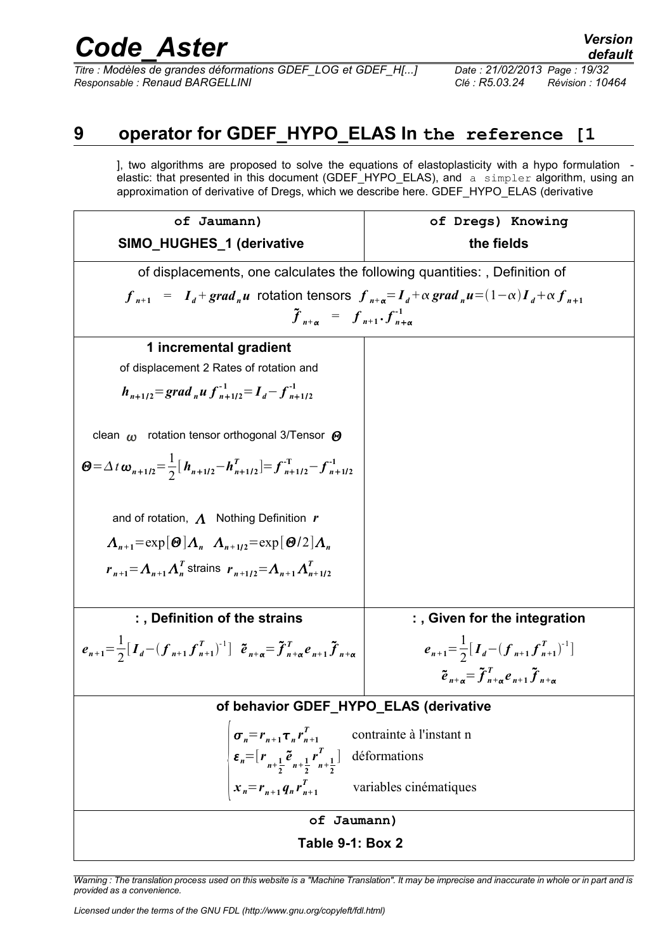*Titre : Modèles de grandes déformations GDEF\_LOG et GDEF\_H[...] Date : 21/02/2013 Page : 19/32 Responsable : Renaud BARGELLINI Clé : R5.03.24 Révision : 10464*

### **9 operator for GDEF\_HYPO\_ELAS In the reference [1**

<span id="page-18-0"></span>], two algorithms are proposed to solve the equations of elastoplasticity with a hypo formulation elastic: that presented in this document (GDEF\_HYPO\_ELAS), and a simpler algorithm, using an approximation of derivative of Dregs, which we describe here. GDEF\_HYPO\_ELAS (derivative



*Warning : The translation process used on this website is a "Machine Translation". It may be imprecise and inaccurate in whole or in part and is provided as a convenience.*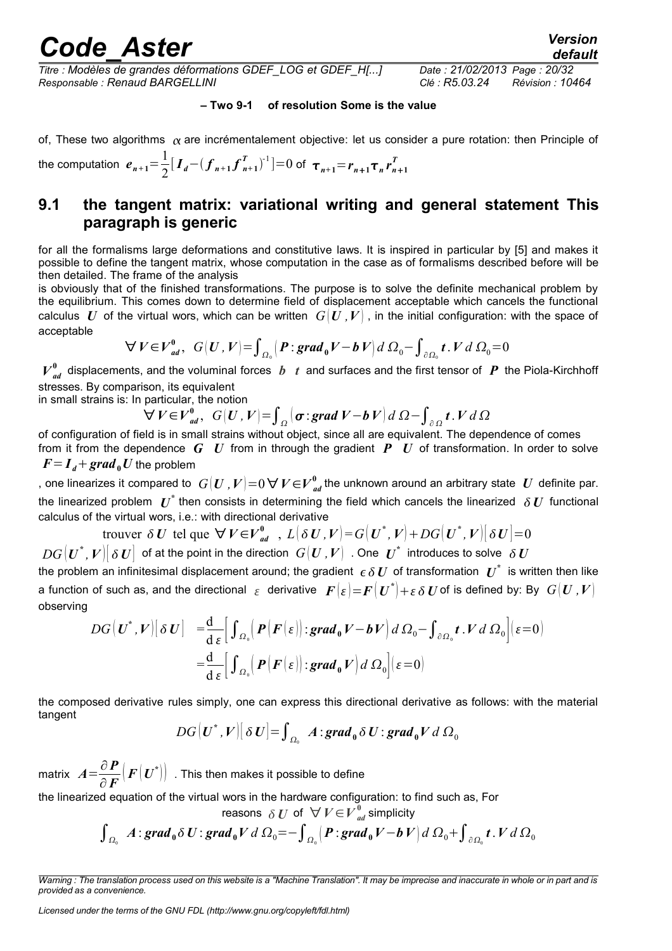*default*

*Titre : Modèles de grandes déformations GDEF\_LOG et GDEF\_H[...] Date : 21/02/2013 Page : 20/32 Responsable : Renaud BARGELLINI Clé : R5.03.24 Révision : 10464*

#### **– Two 9-1 of resolution Some is the value**

of, These two algorithms  $\alpha$  are incrémentalement objective: let us consider a pure rotation: then Principle of

the computation  $e_{n+1} = \frac{1}{2}$  $\frac{1}{2}$ <sup>[</sup> $I_d$  –  $(f_{n+1}f_{n+1}^T)$  $\left[ \sum_{n+1}^{T} \right]^{-1}$  = 0 of  $\tau_{n+1} = r_{n+1} \tau_n r_{n+1}^T$ 

### <span id="page-19-0"></span>**9.1 the tangent matrix: variational writing and general statement This paragraph is generic**

for all the formalisms large deformations and constitutive laws. It is inspired in particular by [5] and makes it possible to define the tangent matrix, whose computation in the case as of formalisms described before will be then detailed. The frame of the analysis

is obviously that of the finished transformations. The purpose is to solve the definite mechanical problem by the equilibrium. This comes down to determine field of displacement acceptable which cancels the functional calculus U of the virtual wors, which can be written  $G(U, V)$ , in the initial configuration: with the space of acceptable

$$
\forall V \in V_{ad}^0, \ G(U, V) = \int_{\Omega_0} \left( P : \mathbf{grad}_0 V - b V \right) d \Omega_0 - \int_{\partial \Omega_0} t \cdot V d \Omega_0 = 0
$$

 $V^0_{ad}$  displacements, and the voluminal forces  $b$  *t* and surfaces and the first tensor of  $P$  the Piola-Kirchhoff stresses. By comparison, its equivalent

in small strains is: In particular, the notion

$$
\forall V \in V_{ad}^{0}, \ G(U, V) = \int_{\Omega} (\sigma : \text{grad } V - b V) d \Omega - \int_{\partial \Omega} t. V d \Omega
$$

of configuration of field is in small strains without object, since all are equivalent. The dependence of comes from it from the dependence *G U* from in through the gradient *P U* of transformation. In order to solve  $F = I_d + grad_0 U$  the problem

, one linearizes it compared to  $\;G(\bm{U}$  ,  $\bm{V})\!=\!0$   $\bm{\nabla}\bm{V}\!\in\!\bm{\mathit{V}}_\mathit{ad}^0$  the unknown around an arbitrary state  $\;\bm{U}\;$  definite par. the linearized problem  $\bm U^*$  then consists in determining the field which cancels the linearized  $\,\delta\,\bm U\,$  functional calculus of the virtual wors, i.e.: with directional derivative

trouver 
$$
\delta U
$$
 tel que  $\forall V \in V_{ad}^0$ ,  $L(\delta U, V) = G(U^*, V) + DG(U^*, V)[\delta U] = 0$ 

 $DG[\bm{U}^*,\bm{V}]\big[ \, \delta \,\bm{U} \big]$  of at the point in the direction  $\,\, G[\bm{U}$  ,  $\bm{V} \big] \,$  . One  $\,\, \bm{U}^* \,$  introduces to solve  $\,\, \delta \,\bm{U}$ the problem an infinitesimal displacement around; the gradient  $\,\epsilon\,\delta\,U\,$  of transformation  $\,\bm\,U}^*\,$  is written then like a function of such as, and the directional  $\,\varepsilon\,$  derivative  $\,\bm{F}\big(\varepsilon\big)\!=\!\bm{F}\big(\bm{U}^*\big)\!+\!\varepsilon\,\delta\,\bm{U}$  of is defined by: By  $\,\,G\big(\bm{U}$  , $\bm{V}\big)\,$ observing

$$
DG\left[\boldsymbol{U}^*,\boldsymbol{V}\right]\left[\delta \boldsymbol{U}\right] = \frac{d}{d \epsilon} \Big[\int_{\Omega_0} \Big(\boldsymbol{P}\big(\boldsymbol{F}\big(\boldsymbol{\varepsilon}\big)\big) : \boldsymbol{grad}_0 \boldsymbol{V} - \boldsymbol{b} \boldsymbol{V}\Big) d \Omega_0 - \int_{\partial \Omega_0} \boldsymbol{t} \cdot \boldsymbol{V} d \Omega_0 \Big] (\epsilon = 0)
$$
  
=  $\frac{d}{d \epsilon} \Big[\int_{\Omega_0} \Big(\boldsymbol{P}\big(\boldsymbol{F}\big(\boldsymbol{\varepsilon}\big)\big) : \boldsymbol{grad}_0 \boldsymbol{V}\Big) d \Omega_0 \Big] (\epsilon = 0)$ 

the composed derivative rules simply, one can express this directional derivative as follows: with the material tangent

$$
DG[U^*,V][\delta U]=\int_{\Omega_0} A:grad_0 \delta U: grad_0 V d\Omega_0
$$

matrix  $A = \frac{\partial P}{\partial F}$ ∂*F*  $\left ( \boldsymbol{F} \big( \boldsymbol{U}^* \big) \right )\,$  . This then makes it possible to define

the linearized equation of the virtual wors in the hardware configuration: to find such as, For

reasons 
$$
\delta U
$$
 of  $\forall V \in V_{ad}^{0}$  simplicity

$$
\int_{\Omega_0} A : \mathbf{grad}_0 \delta U : \mathbf{grad}_0 V d \Omega_0 = - \int_{\Omega_0} \left( P : \mathbf{grad}_0 V - b V \right) d \Omega_0 + \int_{\partial \Omega_0} t \cdot V d \Omega_0
$$

*Licensed under the terms of the GNU FDL (http://www.gnu.org/copyleft/fdl.html)*

*Warning : The translation process used on this website is a "Machine Translation". It may be imprecise and inaccurate in whole or in part and is provided as a convenience.*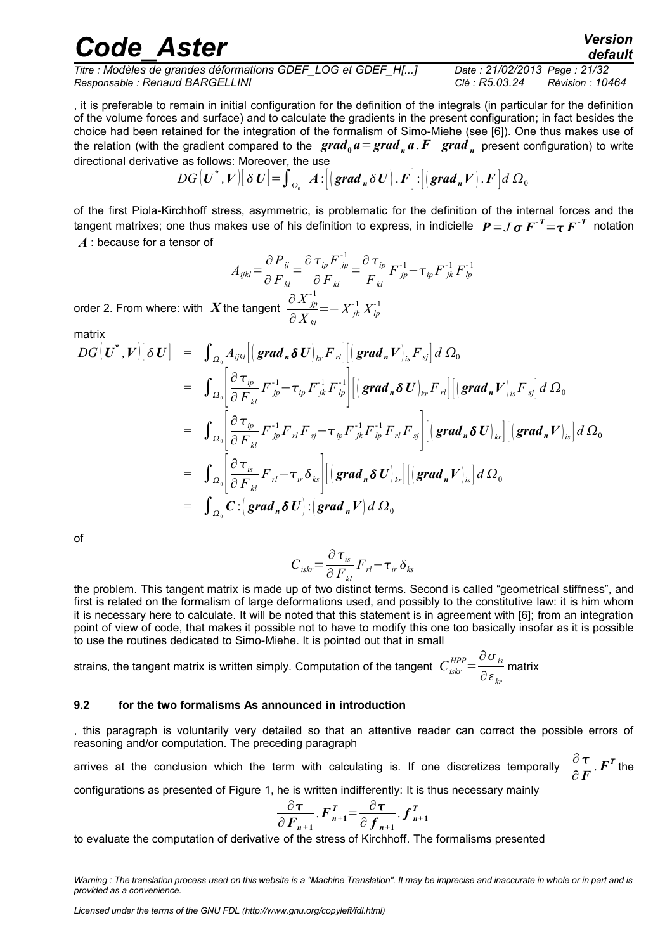*Titre : Modèles de grandes déformations GDEF\_LOG et GDEF\_H[...] Date : 21/02/2013 Page : 21/32 Responsable : Renaud BARGELLINI Clé : R5.03.24 Révision : 10464*

*default*

, it is preferable to remain in initial configuration for the definition of the integrals (in particular for the definition of the volume forces and surface) and to calculate the gradients in the present configuration; in fact besides the choice had been retained for the integration of the formalism of Simo-Miehe (see [6]). One thus makes use of the relation (with the gradient compared to the  $\bm{grad}_0\bm{a} = \bm{grad}_n\bm{a}$  .  $F$   $\bm{grad}_n$  present configuration) to write directional derivative as follows: Moreover, the use

$$
DG\big[\boldsymbol{U}^*,\boldsymbol{V}\big]\big[\delta\boldsymbol{U}\big]=\int_{\Omega_0}\boldsymbol{A}\!\cdot\!\big[\big(\boldsymbol{grad}_n\delta\boldsymbol{U}\big).\boldsymbol{F}\big]\!\cdot\!\big[\big(\boldsymbol{grad}_n\boldsymbol{V}\big).\boldsymbol{F}\big]\,d\Omega_0
$$

of the first Piola-Kirchhoff stress, asymmetric, is problematic for the definition of the internal forces and the tangent matrixes; one thus makes use of his definition to express, in indicielle  $P = J\,\sigma\,F^{\,\tau}$   $=\tau\,F^{\,\tau}$  notation *A* : because for a tensor of

$$
A_{ijkl} = \frac{\partial P_{ij}}{\partial F_{kl}} = \frac{\partial \tau_{ip} F_{jp}^{-1}}{\partial F_{kl}} = \frac{\partial \tau_{ip}}{F_{kl}} F_{jp}^{-1} - \tau_{ip} F_{jk}^{-1} F_{lp}^{-1}
$$

order 2. From where: with  $\overline{X}$  the tangent  $\frac{\partial X_{jp}^{\text{-}1}}{\partial X_{jp}^{\text{-}1}}$ ∂ *X kl*  $=-X_{jk}^{-1}X_{lp}^{-1}$ 

matrix

$$
DG\left(\boldsymbol{U}^*,\boldsymbol{V}\right)\left[\delta \boldsymbol{U}\right] = \int_{\Omega_0} A_{ijkl} \left[\left(\boldsymbol{grad}_n \delta \boldsymbol{U}\right)_{kr} \boldsymbol{F}_{rl}\right] \left[\left(\boldsymbol{grad}_n \boldsymbol{V}\right)_{is} \boldsymbol{F}_{sj}\right] d \Omega_0
$$
  
\n
$$
= \int_{\Omega_0} \left[\frac{\partial \boldsymbol{\tau}_{ip}}{\partial \boldsymbol{F}_{kl}} \boldsymbol{F}_{jp}^{-1} - \boldsymbol{\tau}_{ip} \boldsymbol{F}_{jk}^{-1} \boldsymbol{F}_{lp}^{-1}\right] \left[\left(\boldsymbol{grad}_n \delta \boldsymbol{U}\right)_{kr} \boldsymbol{F}_{rl}\right] \left[\left(\boldsymbol{grad}_n \boldsymbol{V}\right)_{is} \boldsymbol{F}_{sj}\right] d \Omega_0
$$
  
\n
$$
= \int_{\Omega_0} \left[\frac{\partial \boldsymbol{\tau}_{ip}}{\partial \boldsymbol{F}_{kl}} \boldsymbol{F}_{jp}^{-1} \boldsymbol{F}_{rl} \boldsymbol{F}_{sj} - \boldsymbol{\tau}_{ip} \boldsymbol{F}_{jk}^{-1} \boldsymbol{F}_{lp}^{-1} \boldsymbol{F}_{rl} \boldsymbol{F}_{sj}\right] \left[\left(\boldsymbol{grad}_n \delta \boldsymbol{U}\right)_{kr}\right] \left[\left(\boldsymbol{grad}_n \boldsymbol{V}\right)_{is}\right] d \Omega_0
$$
  
\n
$$
= \int_{\Omega_0} \left[\frac{\partial \boldsymbol{\tau}_{is}}{\partial \boldsymbol{F}_{kl}} \boldsymbol{F}_{rl} - \boldsymbol{\tau}_{ir} \delta_{ks}\right] \left[\left(\boldsymbol{grad}_n \delta \boldsymbol{U}\right)_{kr}\right] \left[\left(\boldsymbol{grad}_n \boldsymbol{V}\right)_{is}\right] d \Omega_0
$$
  
\n
$$
= \int_{\Omega_0} \boldsymbol{C} : \left(\boldsymbol{grad}_n \delta \boldsymbol{U}\right) : \left(\boldsymbol{grad}_n \boldsymbol{V}\right) d \Omega_0
$$

of

$$
C_{iskr} = \frac{\partial \tau_{is}}{\partial F_{kl}} F_{rl} - \tau_{ir} \delta_{ks}
$$

the problem. This tangent matrix is made up of two distinct terms. Second is called "geometrical stiffness", and first is related on the formalism of large deformations used, and possibly to the constitutive law: it is him whom it is necessary here to calculate. It will be noted that this statement is in agreement with [6]; from an integration point of view of code, that makes it possible not to have to modify this one too basically insofar as it is possible to use the routines dedicated to Simo-Miehe. It is pointed out that in small

strains, the tangent matrix is written simply. Computation of the tangent *Ciskr HPP*= ∂*is*  $\frac{a}{\partial ε}_{kr}$ matrix

#### <span id="page-20-0"></span>**9.2 for the two formalisms As announced in introduction**

, this paragraph is voluntarily very detailed so that an attentive reader can correct the possible errors of reasoning and/or computation. The preceding paragraph

arrives at the conclusion which the term with calculating is. If one discretizes temporally  $\frac{\partial \boldsymbol{\tau}}{\partial \boldsymbol{\tau}}$ ∂*F* .  $\boldsymbol{F}^{\boldsymbol{T}}$  the

configurations as presented of Figure 1, he is written indifferently: It is thus necessary mainly

$$
\frac{\partial \tau}{\partial F_{n+1}}. F_{n+1}^T = \frac{\partial \tau}{\partial f_{n+1}}. f_{n+1}^T
$$

to evaluate the computation of derivative of the stress of Kirchhoff. The formalisms presented

*Warning : The translation process used on this website is a "Machine Translation". It may be imprecise and inaccurate in whole or in part and is provided as a convenience.*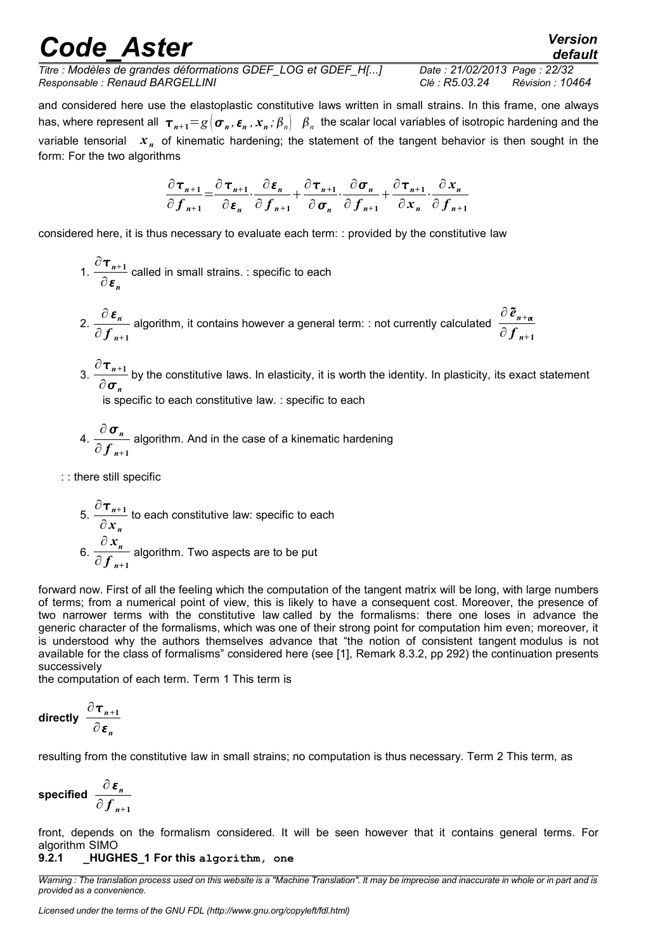# *Code\_Aster Version*<br>default<br>tre : Modèles de grandes déformations GDEF\_LOG et GDEF\_H[...] Date : 21/02/2013\_Page : 22/32

*default*

*Titre : Modèles de grandes déformations GDEF\_LOG et GDEF\_H[...] Date : 21/02/2013 Page : 22/32 Responsable : Renaud BARGELLINI Clé : R5.03.24 Révision : 10464*

and considered here use the elastoplastic constitutive laws written in small strains. In this frame, one always has, where represent all  $\bm{\tau}_{n+1} = g\,|\bm{\sigma}_n,\bm{\varepsilon}_n$  ,  $\bm{x}_n$  ;  $\beta_n|\,|\,\beta_n|$  the scalar local variables of isotropic hardening and the variable tensorial  $x_n$  of kinematic hardening; the statement of the tangent behavior is then sought in the form: For the two algorithms

$$
\frac{\partial \tau_{n+1}}{\partial f_{n+1}} = \frac{\partial \tau_{n+1}}{\partial \varepsilon_n} \cdot \frac{\partial \varepsilon_n}{\partial f_{n+1}} + \frac{\partial \tau_{n+1}}{\partial \sigma_n} \cdot \frac{\partial \sigma_n}{\partial f_{n+1}} + \frac{\partial \tau_{n+1}}{\partial x_n} \cdot \frac{\partial x_n}{\partial f_{n+1}}
$$

considered here, it is thus necessary to evaluate each term: : provided by the constitutive law

- $\int$ <sup>0</sup> $\tau$ <sub>n+1</sub>  $\frac{n+1}{\partial \varepsilon_n}$  called in small strains. : specific to each
- 2.  $\frac{\partial \varepsilon_n}{\partial n}$  $\frac{\partial \, \boldsymbol{\varepsilon}_n}{\partial \, \boldsymbol{f}_{n+1}}$  algorithm, it contains however a general term: : not currently calculated  $\frac{\partial \, \boldsymbol{\tilde{e}}_{n+\alpha}}{\partial \, \boldsymbol{f}_{n+1}}$ ∂ *f <sup>n</sup>***<sup>+</sup> <sup>1</sup>**
- $3. \frac{\partial \tau_{n+1}}{\partial \tau_n}$  $\frac{n+1}{\partial \sigma_n}$  by the constitutive laws. In elasticity, it is worth the identity. In plasticity, its exact statement  $\partial \sigma_n$

is specific to each constitutive law. : specific to each

- 4.  $\frac{\partial \sigma_n}{\partial \sigma_n}$ ∂  $f$ <sub>n+1</sub> algorithm. And in the case of a kinematic hardening
- : : there still specific

\n- 5. 
$$
\frac{\partial \tau_{n+1}}{\partial x_n}
$$
 to each constitutive law: specific to each
\n- 6.  $\frac{\partial x_n}{\partial f_{n+1}}$  algorithm. Two aspects are to be put
\n

forward now. First of all the feeling which the computation of the tangent matrix will be long, with large numbers of terms; from a numerical point of view, this is likely to have a consequent cost. Moreover, the presence of two narrower terms with the constitutive law called by the formalisms: there one loses in advance the generic character of the formalisms, which was one of their strong point for computation him even; moreover, it is understood why the authors themselves advance that "the notion of consistent tangent modulus is not available for the class of formalisms" considered here (see [1], Remark 8.3.2, pp 292) the continuation presents successively

the computation of each term. Term 1 This term is

<span id="page-21-1"></span>
$$
\text{directly } \frac{\partial \tau_{n+1}}{\partial \varepsilon_n}
$$

resulting from the constitutive law in small strains; no computation is thus necessary. Term 2 This term, as

<span id="page-21-0"></span>
$$
\text{specified } \frac{\partial \, \boldsymbol{\varepsilon}_n}{\partial \, \boldsymbol{f}_{n+1}}
$$

front, depends on the formalism considered. It will be seen however that it contains general terms. For algorithm SIMO

#### **9.2.1 \_HUGHES\_1 For this algorithm, one**

*Warning : The translation process used on this website is a "Machine Translation". It may be imprecise and inaccurate in whole or in part and is provided as a convenience.*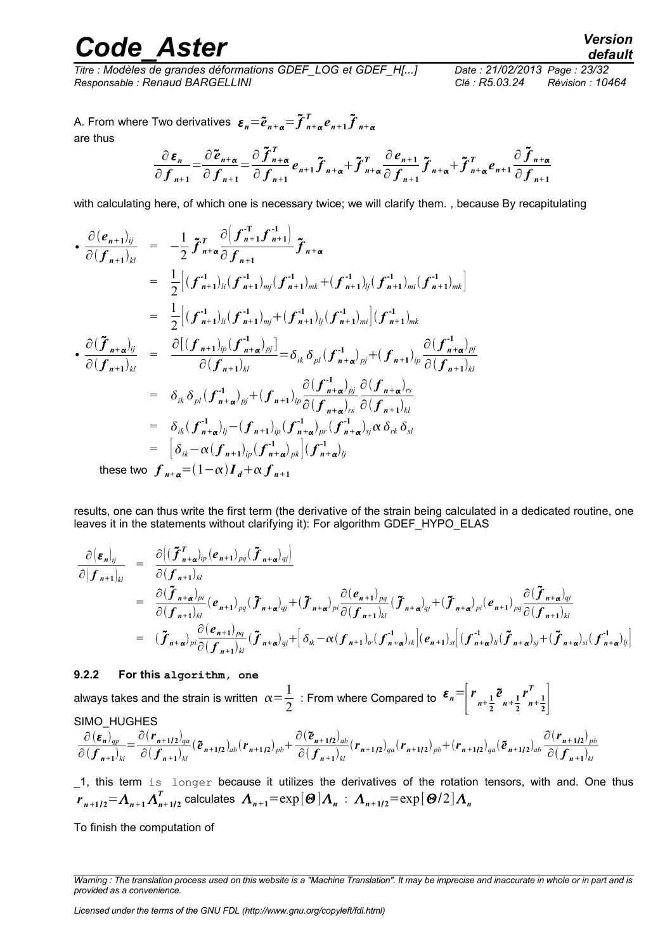*Titre : Modèles de grandes déformations GDEF\_LOG et GDEF\_H[...] Date : 21/02/2013 Page : 23/32 Responsable : Renaud BARGELLINI Clé : R5.03.24 Révision : 10464*

A. From where Two derivatives  $\mathbf{\varepsilon}_n = \widetilde{\boldsymbol{e}}_{n+\boldsymbol{\alpha}} = \widetilde{\boldsymbol{f}}_{n+\boldsymbol{\alpha}}^T \boldsymbol{e}_{n+1} \widetilde{\boldsymbol{f}}_{n+\boldsymbol{\alpha}}$ are thus

$$
\frac{\partial \varepsilon_n}{\partial f_{n+1}} = \frac{\partial \tilde{e}_{n+\alpha}}{\partial f_{n+1}} = \frac{\partial \tilde{f}_{n+\alpha}^T}{\partial f_{n+1}} e_{n+1} \tilde{f}_{n+\alpha} + \tilde{f}_{n+\alpha}^T \frac{\partial e_{n+1}}{\partial f_{n+1}} \tilde{f}_{n+\alpha} + \tilde{f}_{n+\alpha}^T e_{n+1} \frac{\partial \tilde{f}_{n+\alpha}}{\partial f_{n+1}}
$$

with calculating here, of which one is necessary twice; we will clarify them., because By recapitulating

$$
\begin{array}{rcl}\n\bullet \frac{\partial (e_{n+1})_{ij}}{\partial (f_{n+1})_{kl}} &=& -\frac{1}{2} \tilde{f}_{n+\alpha}^T \frac{\partial (f_{n+1}^T f_{n+1}^{-1})}{\partial f_{n+1}} \tilde{f}_{n+\alpha} \\
&=& \frac{1}{2} \Big[ (f_{n+1}^{-1})_{li} (f_{n+1}^{-1})_{mj} (f_{n+1}^{-1})_{mk} + (f_{n+1}^{-1})_{lj} (f_{n+1}^{-1})_{mi} (f_{n+1}^{-1})_{mk} \Big] \\
&=& \frac{1}{2} \Big[ (f_{n+1}^{-1})_{li} (f_{n+1}^{-1})_{mj} + (f_{n+1}^{-1})_{lj} (f_{n+1}^{-1})_{mi} \Big] (f_{n+1}^{-1})_{mk} \\
\bullet \frac{\partial (\tilde{f}_{n+\alpha})_{ij}}{\partial (f_{n+1})_{kl}} &=& \frac{\partial [(f_{n+1})_{ip} (f_{n+\alpha})_{pj}^{-1}]}{\partial (f_{n+1})_{kl}} = \delta_{ik} \delta_{pl} (f_{n+\alpha})_{pj} + (f_{n+1})_{ip} \frac{\partial (f_{n+\alpha})_{pj}}{\partial (f_{n+1})_{kl}} \\
&=& \delta_{ik} \delta_{pl} (f_{n+\alpha})_{pj} + (f_{n+1})_{ip} \frac{\partial (f_{n+\alpha})_{pj}}{\partial (f_{n+\alpha})_{rs}} \frac{\partial (f_{n+\alpha})_{rs}}{\partial (f_{n+1})_{kl}} \\
&=& \delta_{ik} (f_{n+\alpha})_{ij} - (f_{n+1})_{ip} (f_{n+\alpha})_{pr} (f_{n+\alpha})_{rs} \frac{\partial (f_{n+\alpha})_{rs}}{\partial (f_{n+1})_{kl}} \\
&=& \Big[ \delta_{ik} - \alpha (f_{n+1})_{ip} (f_{n+\alpha})_{pk} \Big] (f_{n+\alpha})_{lj} \alpha \delta_{rk} \delta_{sl} \\
&=& \Big[ (1-\alpha) I_{n+\alpha} f_{n+\alpha}^T \Big] \end{array}
$$

these two  $\int_{R+\alpha}^{\infty}$   $\frac{1-\alpha}{I} \cdot d + \alpha \int_{R+1}^{\infty}$ 

results, one can thus write the first term (the derivative of the strain being calculated in a dedicated routine, one leaves it in the statements without clarifying it): For algorithm GDEF\_HYPO\_ELAS

$$
\frac{\partial (\varepsilon_n)_{ij}}{\partial (f_{n+1})_{kl}} = \frac{\partial ((\tilde{f}_{n+\alpha})_{ip} (e_{n+1})_{pq} (\tilde{f}_{n+\alpha})_{ij})}{\partial (f_{n+1})_{kl}} \n= \frac{\partial (\tilde{f}_{n+\alpha})_{pi}}{\partial (f_{n+1})_{kl}} (e_{n+1})_{pq} (\tilde{f}_{n+\alpha})_{qi} + (\tilde{f}_{n+\alpha})_{pi} \frac{\partial (e_{n+1})_{pq}}{\partial (f_{n+1})_{kl}} (\tilde{f}_{n+\alpha})_{qi} + (\tilde{f}_{n+\alpha})_{pi} (e_{n+1})_{pq} \frac{\partial (\tilde{f}_{n+\alpha})_{ij}}{\partial (f_{n+1})_{kl}} \n= (\tilde{f}_{n+\alpha})_{pi} \frac{\partial (e_{n+1})_{pq}}{\partial (f_{n+1})_{kl}} (\tilde{f}_{n+\alpha})_{qi} + [\delta_{ik} - \alpha (f_{n+1})_{ir} (f_{n+\alpha})_{rk}](e_{n+1})_{si} ((\tilde{f}_{n+\alpha})_{ij} + (\tilde{f}_{n+\alpha})_{si} (f_{n+\alpha})_{ij})
$$

#### **9.2.2 For this algorithm, one**

always takes and the strain is written  $\alpha = \frac{1}{2}$ 2 : From where Compared to  $\mathcal{E}_n = \begin{bmatrix} 1 \\ 1 \end{bmatrix}$  $\frac{r}{n+\frac{1}{2}}$ **2**  $\tilde{e}_{n+\frac{1}{2}}$ **2**  $r^{I}_{n+\frac{1}{2}}$ **2** *T*  $\overline{ }$ SIMO\_HUGHES

$$
\frac{\partial(\boldsymbol{\epsilon}_{n})_{qp}}{\partial(\boldsymbol{f}_{n+1})_{kl}} = \frac{\partial(\boldsymbol{r}_{n+1/2})_{qa}}{\partial(\boldsymbol{f}_{n+1})_{kl}} (\boldsymbol{\tilde{e}}_{n+1/2})_{ab} (\boldsymbol{r}_{n+1/2})_{pb} + \frac{\partial(\boldsymbol{\tilde{e}}_{n+1/2})_{ab}}{\partial(\boldsymbol{f}_{n+1})_{kl}} (\boldsymbol{r}_{n+1/2})_{qa} (\boldsymbol{r}_{n+1/2})_{pb} + (\boldsymbol{r}_{n+1/2})_{qa} (\boldsymbol{\tilde{e}}_{n+1/2})_{ab} \frac{\partial(\boldsymbol{r}_{n+1/2})_{pb}}{\partial(\boldsymbol{f}_{n+1})_{kl}}
$$

\_1, this term is longer because it utilizes the derivatives of the rotation tensors, with and. One thus  $r_{n+1/2}$   $=$   $\Lambda_{n+1}$   $\Lambda_{n+1/2}^T$  calculates  $\ \Lambda_{n+1}$   $=$   $\exp[\bm{\Theta}]$   $\Lambda_n$   $:\ \Lambda_{n+1/2}$   $=$   $\exp[\bm{\Theta}/2]$   $\Lambda_n$ 

To finish the computation of

*Warning : The translation process used on this website is a "Machine Translation". It may be imprecise and inaccurate in whole or in part and is provided as a convenience.*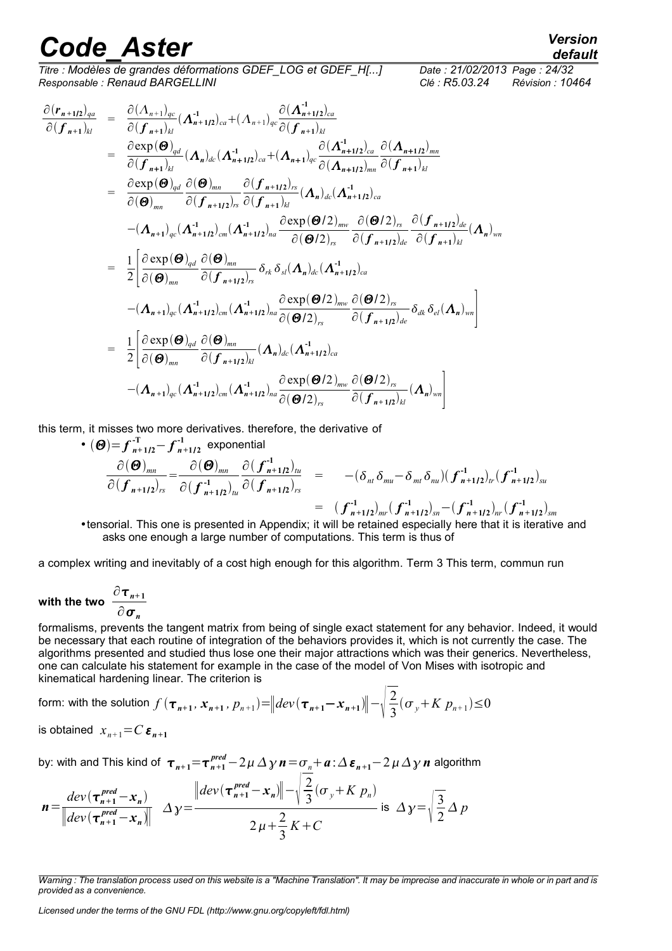*Titre : Modèles de grandes déformations GDEF\_LOG et GDEF\_H[...] Date : 21/02/2013 Page : 24/32 Responsable : Renaud BARGELLINI Clé : R5.03.24 Révision : 10464*

$$
\frac{\partial (r_{n+1/2})_{qa}}{\partial (f_{n+1})_{kl}} = \frac{\partial (\Lambda_{n+1})_{qc}}{\partial (f_{n+1})_{kl}} (\Lambda_{n+1/2})_{ca} + (\Lambda_{n+1})_{qc} \frac{\partial (\Lambda_{n+1/2})_{ca}}{\partial (f_{n+1})_{kl}} \n= \frac{\partial \exp(\Theta)_{qd}}{\partial (f_{n+1})_{kl}} (\Lambda_{n})_{dc} (\Lambda_{n+1/2})_{ca} + (\Lambda_{n+1})_{qc} \frac{\partial (\Lambda_{n+1/2})_{ca}}{\partial (\Lambda_{n+1/2})_{mn}} \frac{\partial (\Lambda_{n+1/2})_{cm}}{\partial (f_{n+1})_{kl}} \n= \frac{\partial \exp(\Theta)_{qd}}{\partial (\Theta)_{mn}} \frac{\partial (\Theta)_{mn}}{\partial (f_{n+1/2})_{rs}} \frac{\partial (f_{n+1/2})_{rs}}{\partial (f_{n+1})_{kl}} (\Lambda_{n})_{dc} (\Lambda_{n+1/2})_{ca} \n- (\Lambda_{n+1})_{qc} (\Lambda_{n+1/2})_{cn} (\Lambda_{n+1/2})_{na} \frac{\partial \exp(\Theta/2)_{mw}}{\partial (\Theta/2)_{rs}} \frac{\partial (\Theta/2)_{rs}}{\partial (f_{n+1/2})_{de}} \frac{\partial (f_{n+1/2})_{de}}{\partial (f_{n+1})_{kl}} (\Lambda_{n})_{wn} \n= \frac{1}{2} \Bigg[ \frac{\partial \exp(\Theta)_{qd}}{\partial (\Theta)_{mn}} \frac{\partial (\Theta)_{mn}}{\partial (f_{n+1/2})_{rs}} \delta_{rk} \delta_{sl} (\Lambda_{n})_{dc} (\Lambda_{n+1/2})_{ca} \Bigg] \times \Bigg[ \frac{\partial (\Theta/2)_{rs}}{\partial (f_{n+1/2})_{de}} \delta_{dk} \delta_{el} (\Lambda_{n})_{wn} \Bigg] \n- (\Lambda_{n+1})_{qc} (\Lambda_{n+1/2})_{cm} (\Lambda_{n+1/2})_{na} \frac{\partial \exp(\Theta/2)_{mw}}{\partial (\Theta/2)_{rs}} \frac{\partial (\Theta/2)_{rs}}{\partial (f_{n+1/2})_{de}} \delta_{dk} \delta_{el} (\Lambda_{n})_{wn} \Bigg] \n= \frac{1}{2} \Bigg[ \frac{\partial \exp(\Theta)_{qd}}{\partial (\Theta)_{mn}} \frac{\partial (\Theta)_{mn}}{\partial (f_{n+1/
$$

this term, it misses two more derivatives. therefore, the derivative of

• 
$$
(\Theta) = f_{n+1/2}^{-T} - f_{n+1/2}^{-1}
$$
 exponential  
\n
$$
\frac{\partial(\Theta)_{mn}}{\partial (f_{n+1/2})_{rs}} = \frac{\partial(\Theta)_{mn}}{\partial (f_{n+1/2})_{tu}} \frac{\partial (f_{n+1/2})_{tu}}{\partial (f_{n+1/2})_{rs}} = -(\delta_{nt} \delta_{mt} - \delta_{mt} \delta_{nt})(f_{n+1/2})_{tv}^{-1}(f_{n+1/2})_{su}
$$
\n
$$
= (f_{n+1/2})_{mr}^{-1}(f_{n+1/2})_{sn} - (f_{n+1/2})_{mr}^{-1}(f_{n+1/2})_{sm}
$$

•tensorial. This one is presented in Appendix; it will be retained especially here that it is iterative and asks one enough a large number of computations. This term is thus of

a complex writing and inevitably of a cost high enough for this algorithm. Term 3 This term, commun run

<span id="page-23-0"></span>with the two 
$$
\frac{\partial \tau_{n+1}}{\partial \sigma_n}
$$

formalisms, prevents the tangent matrix from being of single exact statement for any behavior. Indeed, it would be necessary that each routine of integration of the behaviors provides it, which is not currently the case. The algorithms presented and studied thus lose one their major attractions which was their generics. Nevertheless, one can calculate his statement for example in the case of the model of Von Mises with isotropic and kinematical hardening linear. The criterion is

form: with the solution 
$$
f(\tau_{n+1}, x_{n+1}, p_{n+1}) = ||dev(\tau_{n+1} - x_{n+1})|| - \sqrt{\frac{2}{3}} (\sigma_y + K p_{n+1}) \le 0
$$

is obtained 
$$
x_{n+1} = C \varepsilon_{n+1}
$$

by: with and This kind of  $\tau_{n+1}$ = $\tau_{n+1}^{pred}-2\,\mu\,\Delta\,\gamma$   $n$  =  $\sigma_n$ +  $a$  :  $\Delta\,\bm{\varepsilon}_{n+1}-2\,\mu\,\Delta\,\gamma$   $n$  algorithm

$$
\boldsymbol{n} = \frac{dev(\boldsymbol{\tau}_{n+1}^{pred} - \boldsymbol{x}_n)}{\| dev(\boldsymbol{\tau}_{n+1}^{pred} - \boldsymbol{x}_n) \|} \Delta \gamma = \frac{\| dev(\boldsymbol{\tau}_{n+1}^{pred} - \boldsymbol{x}_n) \| - \sqrt{\frac{2}{3}} (\sigma_y + K \ p_n)}{2\mu + \frac{2}{3} K + C} \text{ is } \Delta \gamma = \sqrt{\frac{3}{2}} \Delta \ p
$$

*Licensed under the terms of the GNU FDL (http://www.gnu.org/copyleft/fdl.html)*

*Warning : The translation process used on this website is a "Machine Translation". It may be imprecise and inaccurate in whole or in part and is provided as a convenience.*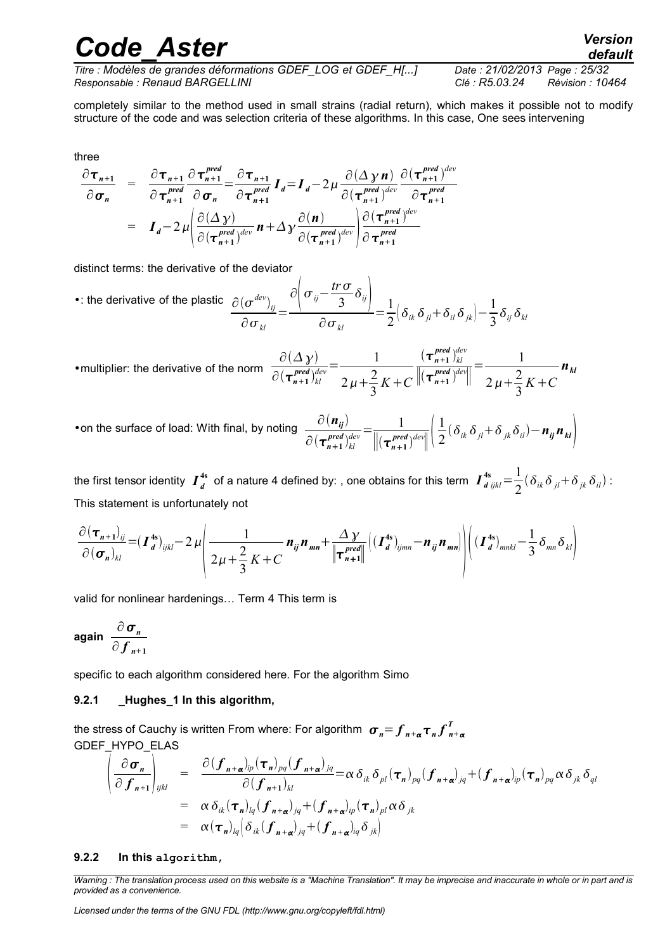*default*

*Titre : Modèles de grandes déformations GDEF\_LOG et GDEF\_H[...] Date : 21/02/2013 Page : 25/32 Responsable : Renaud BARGELLINI Clé : R5.03.24 Révision : 10464*

completely similar to the method used in small strains (radial return), which makes it possible not to modify structure of the code and was selection criteria of these algorithms. In this case, One sees intervening

three

$$
\frac{\partial \tau_{n+1}}{\partial \sigma_n} = \frac{\partial \tau_{n+1}}{\partial \tau_{n+1}^{pred}} \frac{\partial \tau_{n+1}^{pred}}{\partial \sigma_n} = \frac{\partial \tau_{n+1}}{\partial \tau_{n+1}^{pred}} I_d = I_d - 2\mu \frac{\partial (\Delta \gamma n)}{\partial (\tau_{n+1}^{pred})^{dev}} \frac{\partial (\tau_{n+1}^{pred})^{dev}}{\partial \tau_{n+1}^{pred}}
$$
\n
$$
= I_d - 2\mu \left( \frac{\partial (\Delta \gamma)}{\partial (\tau_{n+1}^{pred})^{dev}} n + \Delta \gamma \frac{\partial (n)}{\partial (\tau_{n+1}^{pred})^{dev}} \right) \frac{\partial (\tau_{n+1}^{pred})^{dev}}{\partial \tau_{n+1}^{pred}}
$$

distinct terms: the derivative of the deviator

•: the derivative of the plastic 
$$
\frac{\partial (\sigma^{dev})_{ij}}{\partial \sigma_{kl}} = \frac{\partial (\sigma^{inv})_{ij}}{\partial \sigma_{kl}} = \frac{1}{2} (\delta_{ik} \delta_{jl} + \delta_{il} \delta_{jk}) - \frac{1}{3} \delta_{ij} \delta_{kl}
$$

•multiplier: the derivative of the norm  $\partial(\Delta\, \chi)$  $\partial (\boldsymbol{\tau}_{n+1}^{\textit{pred}})_{kl}^{de}$  $\frac{1}{\text{dev}} = \frac{1}{2}$  $2 \mu + \frac{2}{2}$ 3  $K + C$  $(\tau_{n+1}^{pred})_{kl}^{de}$ *dev*  $\frac{(\tau_{n+1}^{pred})_{kl}^{dev}}{\left\|(\tau_{n+1}^{pred})_{l}^{dev}\right\|} = \frac{1}{2\mu + \frac{2}{\mu}}$  $2 \mu + \frac{2}{2}$ 3  $K + C$ *nkl*

•on the surface of load: With final, by noting  $\frac{\partial (n_{ij})}{\partial n_{ij}}$  $\partial (\boldsymbol{\tau}_{n+1}^{\textit{pred}})_{kl}^{de}$  $\frac{1}{\sqrt{det}} = \frac{1}{\sqrt{det} \cdot \sqrt{det}}$  $\sqrt{\frac{r^{pred}}{n+1}}$   $\sqrt{\frac{2}{n+1}}$ 1  $\frac{1}{2}(\delta_{ik}\delta_{jl}+\delta_{jk}\delta_{il})-\boldsymbol{n}_{ij}\boldsymbol{n}_{kl}$ 

the first tensor identity  $\bm{I}_d^{\text{4s}}$  of a nature 4 defined by: , one obtains for this term  $\bm{I}_{d\;ijkl}^{\text{4s}}\!=\!\frac{1}{2}$  $\frac{1}{2}(\delta_{ik}\delta_{jl}+\delta_{jk}\delta_{il})$ : This statement is unfortunately not

$$
\frac{\partial (\boldsymbol{\tau}_{n+1})_{ij}}{\partial (\boldsymbol{\sigma}_n)_{kl}} = (\boldsymbol{I}_d^{4s})_{ijkl} - 2\mu \left( \frac{1}{2\mu + \frac{2}{3}K + C} \boldsymbol{n}_{ij} \boldsymbol{n}_{mn} + \frac{\Delta \gamma}{\|\boldsymbol{\tau}_{n+1}^{pred}\|} \left( (\boldsymbol{I}_d^{4s})_{ijmn} - \boldsymbol{n}_{ij} \boldsymbol{n}_{mn} \right) \right) \left( (\boldsymbol{I}_d^{4s})_{mnkl} - \frac{1}{3} \delta_{mn} \delta_{kl} \right)
$$

valid for nonlinear hardenings… Term 4 This term is

<span id="page-24-0"></span>
$$
\text{again } \frac{\partial \sigma_n}{\partial f_{n+1}}
$$

specific to each algorithm considered here. For the algorithm Simo

#### **9.2.1 \_Hughes\_1 In this algorithm,**

the stress of Cauchy is written From where: For algorithm  $\; \bm{\sigma}_n \! \!=\! \bm{f}_{n+\alpha} \bm{\tau}_n \bm{f}_{n+\alpha}^T$ GDEF HYPO ELAS

$$
\begin{array}{rcl}\n\left(\frac{\partial \sigma_n}{\partial f_{n+1}}\right)_{ijkl} &=& \frac{\partial (f_{n+\alpha})_{ip}(\tau_n)_{pq}(f_{n+\alpha})_{jq}}{\partial (f_{n+1})_{kl}} = \alpha \delta_{ik} \delta_{pl}(\tau_n)_{pq} (f_{n+\alpha})_{jq} + (f_{n+\alpha})_{ip}(\tau_n)_{pq} \alpha \delta_{jk} \delta_{ql} \\
&=& \alpha \delta_{ik}(\tau_n)_{lq} (f_{n+\alpha})_{jq} + (f_{n+\alpha})_{ip}(\tau_n)_{pl} \alpha \delta_{jk} \\
&=& \alpha (\tau_n)_{lq} \left(\delta_{ik} (f_{n+\alpha})_{jq} + (f_{n+\alpha})_{iq} \delta_{jk}\right)\n\end{array}
$$

#### **9.2.2 In this algorithm,**

*Warning : The translation process used on this website is a "Machine Translation". It may be imprecise and inaccurate in whole or in part and is provided as a convenience.*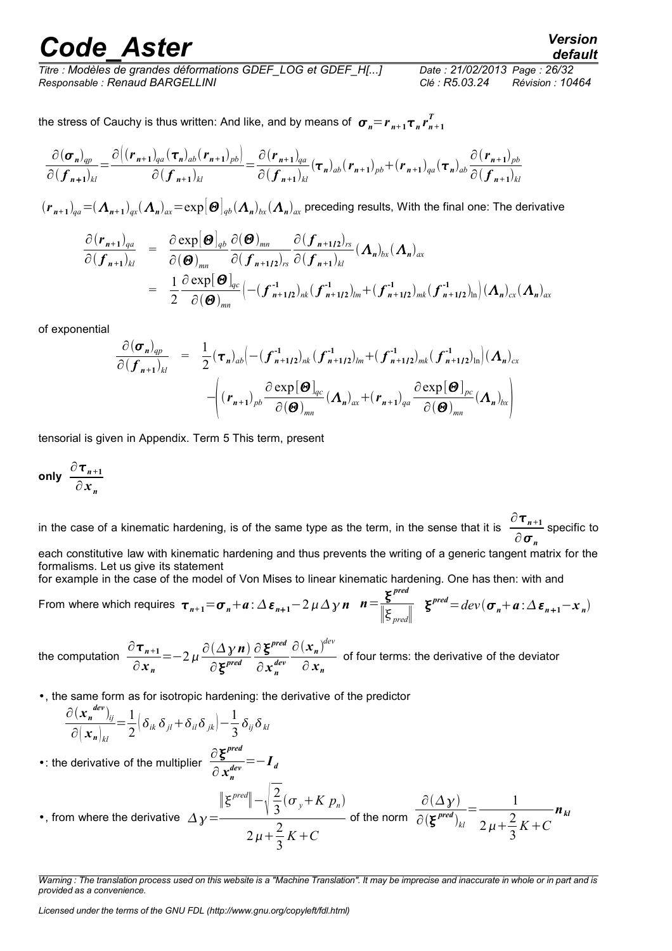# *Code\_Aster Version*<br>default<br>tre : Modèles de grandes déformations GDEF\_LOG et GDEF\_H[...] Date : 21/02/2013\_Page : 26/32

*Titre : Modèles de grandes déformations GDEF\_LOG et GDEF\_H[...] Date : 21/02/2013 Page : 26/32 Responsable : Renaud BARGELLINI Clé : R5.03.24 Révision : 10464*

the stress of Cauchy is thus written: And like, and by means of  $\; \bm{\sigma}_n \! = \! \bm{r}_{n+1} \bm{\tau}_n \bm{r}_{n+1}^T$ 

$$
\frac{\partial(\boldsymbol{\sigma}_{n})_{qp}}{\partial(\boldsymbol{f}_{n+1})_{kl}} = \frac{\partial((\boldsymbol{r}_{n+1})_{qa}(\boldsymbol{\tau}_{n})_{ab}(\boldsymbol{r}_{n+1})_{pb})}{\partial(\boldsymbol{f}_{n+1})_{kl}} = \frac{\partial(\boldsymbol{r}_{n+1})_{qa}}{\partial(\boldsymbol{f}_{n+1})_{kl}}(\boldsymbol{\tau}_{n})_{ab}(\boldsymbol{r}_{n+1})_{pb} + (\boldsymbol{r}_{n+1})_{qa}(\boldsymbol{\tau}_{n})_{ab} \frac{\partial(\boldsymbol{r}_{n+1})_{pb}}{\partial(\boldsymbol{f}_{n+1})_{kl}}
$$

 $(r_{n+1})_{qa}$  = (  $\bm{\Lambda}_{n+1})_{qx}$  (  $\bm{\Lambda}_n)_{ax}$  = exp $|\bm{\Theta}|_{qb}$  (  $\bm{\Lambda}_n)_{bx}$  (  $\bm{\Lambda}_n)_{ax}$  preceding results, With the final one: The derivative

$$
\frac{\partial (\mathbf{r}_{n+1})_{qa}}{\partial (\mathbf{f}_{n+1})_{kl}} = \frac{\partial \exp[\mathbf{\Theta}]_{qb}}{\partial (\mathbf{\Theta})_{mn}} \frac{\partial (\mathbf{\Theta})_{mn}}{\partial (\mathbf{f}_{n+1/2})_{rs}} \frac{\partial (\mathbf{f}_{n+1/2})_{rs}}{\partial (\mathbf{f}_{n+1})_{kl}} (\mathbf{\Lambda}_n)_{bx} (\mathbf{\Lambda}_n)_{ax}
$$
  
\n
$$
= \frac{1}{2} \frac{\partial \exp[\mathbf{\Theta}]_{qc}}{\partial (\mathbf{\Theta})_{mn}} \Big(-( \mathbf{f}_{n+1/2})_{nk} (\mathbf{f}_{n+1/2})_{lm} + (\mathbf{f}_{n+1/2})_{mk} (\mathbf{f}_{n+1/2})_{ln} \Big) (\mathbf{\Lambda}_n)_{cx} (\mathbf{\Lambda}_n)_{ax}
$$

of exponential

$$
\frac{\partial (\boldsymbol{\sigma}_n)_{qp}}{\partial (\boldsymbol{f}_{n+1})_{kl}} = \frac{1}{2} (\boldsymbol{\tau}_n)_{ab} \Big( -(\boldsymbol{f}_{n+1/2}^{-1})_{nk} (\boldsymbol{f}_{n+1/2}^{-1})_{lm} + (\boldsymbol{f}_{n+1/2}^{-1})_{mk} (\boldsymbol{f}_{n+1/2}^{-1})_{ln} \Big) (\boldsymbol{\Lambda}_n)_{cx}
$$

$$
- \Bigg( (\boldsymbol{r}_{n+1})_{pb} \frac{\partial \exp[\boldsymbol{\Theta}]_{qc}}{\partial (\boldsymbol{\Theta})_{mn}} (\boldsymbol{\Lambda}_n)_{ax} + (\boldsymbol{r}_{n+1})_{qa} \frac{\partial \exp[\boldsymbol{\Theta}]_{pc}}{\partial (\boldsymbol{\Theta})_{mn}} (\boldsymbol{\Lambda}_n)_{bx} \Bigg)
$$

tensorial is given in Appendix. Term 5 This term, present

<span id="page-25-0"></span>only 
$$
\frac{\partial \tau_{n+1}}{\partial x_n}
$$

in the case of a kinematic hardening, is of the same type as the term, in the sense that it is  $\frac{\partial \boldsymbol{\tau}_{n+1}}{\partial n}$  $rac{n+1}{\partial \sigma_n}$  specific to each constitutive law with kinematic hardening and thus prevents the writing of a generic tangent matrix for the formalisms. Let us give its statement

for example in the case of the model of Von Mises to linear kinematic hardening. One has then: with and

From where which requires 
$$
\tau_{n+1} = \sigma_n + a : \Delta \varepsilon_{n+1} - 2 \mu \Delta \gamma n
$$
  $n = \frac{\xi^{pred}}{\|\xi_{pred}\|}$   $\xi^{pred} = dev(\sigma_n + a : \Delta \varepsilon_{n+1} - x_n)$ 

the computation  $\frac{\partial \tau_{n+1}}{\partial \tau_n}$ ∂ *x <sup>n</sup>*  $=-2\mu \frac{\partial (\Delta \gamma n)}{\partial x^{pred}}$ ∂ *pred* ∂ *pred*  $\partial x_n^{dev}$  $\partial(\boldsymbol{x}_n)^{dev}$  $\frac{a}{\partial}$  *x*<sub>n</sub> of four terms: the derivative of the deviator

•, the same form as for isotropic hardening: the derivative of the predictor

$$
\frac{\partial (\mathbf{x}_n^{dev})_{ij}}{\partial (\mathbf{x}_n)_{kl}} = \frac{1}{2} \Big( \delta_{ik} \delta_{jl} + \delta_{il} \delta_{jk} \Big) - \frac{1}{3} \delta_{ij} \delta_{kl}
$$

• the derivative of the multiplier  $\frac{\partial \xi^{pred}}{\partial x^{def}}$ ∂ *x<sup>n</sup>*  $\frac{d}{dx} = -I_d$ 

•, from where the derivative 
$$
\Delta y = \frac{\|\xi^{pred}\| - \sqrt{\frac{2}{3}}(\sigma_y + K p_n)}{2\mu + \frac{2}{3}K + C}
$$
 of the norm  $\frac{\partial (\Delta y)}{\partial (\xi^{pred})_{kl}} = \frac{1}{2\mu + \frac{2}{3}K + C} n_{kl}$ 

*Licensed under the terms of the GNU FDL (http://www.gnu.org/copyleft/fdl.html)*

*Warning : The translation process used on this website is a "Machine Translation". It may be imprecise and inaccurate in whole or in part and is provided as a convenience.*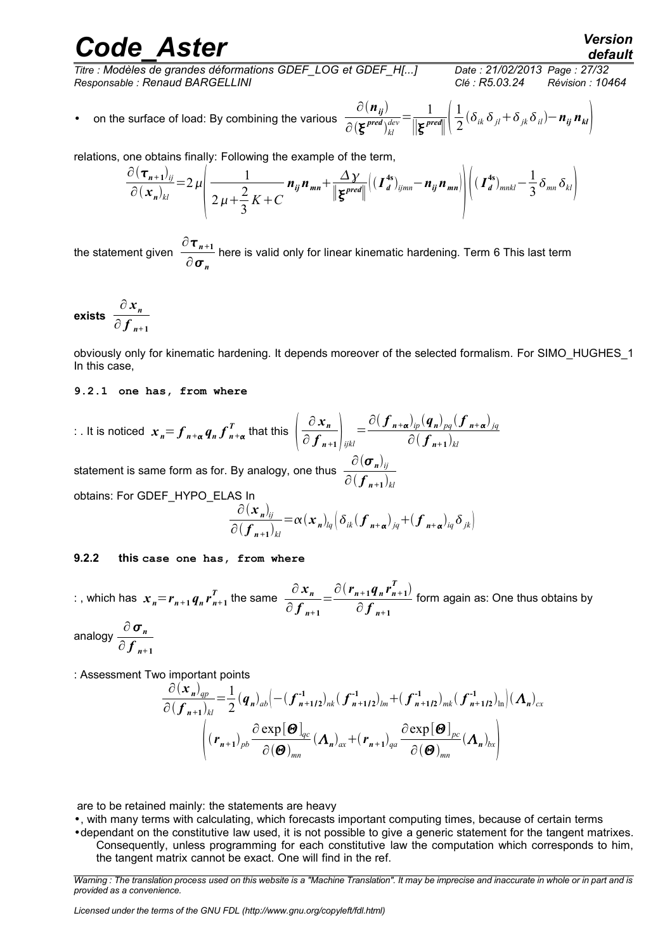# *Code\_Aster Version*<br>default<br>tre : Modèles de grandes déformations GDEF\_LOG et GDEF\_H[...] Date : 21/02/2013\_Page : 27/32

*default*

*Titre : Modèles de grandes déformations GDEF\_LOG et GDEF\_H[...] Date : 21/02/2013 Page : 27/32 Responsable : Renaud BARGELLINI Clé : R5.03.24 Révision : 10464*

• on the surface of load: By combining the various  $\frac{\partial (n_{ij})}{\partial (x \mod 2)}$  $\partial(\boldsymbol{\xi}^{\textit{pred}})_{kl}^{de}$  $\frac{1}{\text{dev}} = \frac{1}{\|\mathbf{r}\|^2}$ ∣∣ *pred*∣<sup>∣</sup> 1  $\frac{1}{2}(\delta_{ik}\delta_{jl}+\delta_{jk}\delta_{il})-n_{ij}n_{kl}$ 

relations, one obtains finally: Following the example of the term,

$$
\frac{\partial (\boldsymbol{\tau}_{n+1})_{ij}}{\partial (\boldsymbol{x}_n)_{kl}} = 2 \mu \left( \frac{1}{2 \mu + \frac{2}{3} K + C} \boldsymbol{n}_{ij} \boldsymbol{n}_{mn} + \frac{\Delta \gamma}{\|\boldsymbol{\xi}^{pred}\|} \left( (\boldsymbol{I}_d^{4s})_{ijmn} - \boldsymbol{n}_{ij} \boldsymbol{n}_{mn} \right) \right) \left( (\boldsymbol{I}_d^{4s})_{mnkl} - \frac{1}{3} \delta_{mn} \delta_{kl} \right)
$$

the statement given  $\frac{\partial \tau_{n+1}}{\partial \tau_n}$  $\frac{n+1}{\partial \sigma_n}$  here is valid only for linear kinematic hardening. Term 6 This last term

<span id="page-26-1"></span>exists 
$$
\frac{\partial x_n}{\partial f_{n+1}}
$$

obviously only for kinematic hardening. It depends moreover of the selected formalism. For SIMO\_HUGHES\_1 In this case,

#### **9.2.1 one has, from where**

: . It is noticed  $x_{n} = f_{n+\alpha} q_{n} f_{n+\alpha}^{T}$  that this  $\Big| \frac{1}{\hat{C}}$ ∂ *x<sup>n</sup>*  $\left(\frac{\partial x_n}{\partial f_{n+1}}\right)_{ijkl} = \frac{\partial (f_{n+\alpha})_{ip} (q_n)_{pq} (f_{n+\alpha})_{jq}}{\partial (f_{n+1})_{kl}}$  $\partial (\boldsymbol{f}_{n+1})_{kl}$ 

statement is same form as for. By analogy, one thus  $\frac{\partial (\sigma_n)_{ij}}{\partial (\sigma_n)}$  $\partial (\boldsymbol{f}_{n+1})_{kl}$ obtains: For GDEF\_HYPO\_ELAS In

$$
\frac{\partial (\mathbf{x}_n)_{ij}}{\partial (\boldsymbol{f}_{n+1})_{kl}} = \alpha (\mathbf{x}_n)_{lq} \Big( \delta_{ik} (\boldsymbol{f}_{n+\alpha})_{jq} + (\boldsymbol{f}_{n+\alpha})_{iq} \delta_{jk} \Big)
$$

#### **9.2.2 this case one has, from where**

: , which has  $x_{n} = r_{n+1} q_{n} r_{n+1}^{T}$  the same  $\frac{\partial x_{n}}{\partial f}$ ∂ *f <sup>n</sup>***<sup>+</sup> <sup>1</sup>**  $=\frac{\partial (r_{n+1}q_n r_{n+1}^T)}{2\sigma}$  $\frac{\partial f}{\partial f}$ <sub>*n*+1</sub> form again as: One thus obtains by

analogy  $\frac{\partial \boldsymbol{\sigma}_n}{\partial \boldsymbol{\sigma}_n}$ ∂ *f <sup>n</sup>***<sup>+</sup> <sup>1</sup>**

: Assessment Two important points

$$
\frac{\partial (\mathbf{x}_n)_{qp}}{\partial (\boldsymbol{f}_{n+1})_{kl}} = \frac{1}{2} (\boldsymbol{q}_n)_{ab} \Big( -(\boldsymbol{f}_{n+1/2}^{-1})_{nk} (\boldsymbol{f}_{n+1/2}^{-1})_{lm} + (\boldsymbol{f}_{n+1/2}^{-1})_{mk} (\boldsymbol{f}_{n+1/2}^{-1})_{ln} \Big) (\boldsymbol{\Lambda}_n)_{cx}
$$
\n
$$
\Bigg( (\boldsymbol{r}_{n+1})_{pb} \frac{\partial \exp[\boldsymbol{\Theta}]_{qc}}{\partial (\boldsymbol{\Theta})_{mn}} (\boldsymbol{\Lambda}_n)_{ax} + (\boldsymbol{r}_{n+1})_{qa} \frac{\partial \exp[\boldsymbol{\Theta}]_{pc}}{\partial (\boldsymbol{\Theta})_{mn}} (\boldsymbol{\Lambda}_n)_{bx} \Bigg)
$$

<span id="page-26-0"></span>are to be retained mainly: the statements are heavy

•, with many terms with calculating, which forecasts important computing times, because of certain terms

•dependant on the constitutive law used, it is not possible to give a generic statement for the tangent matrixes. Consequently, unless programming for each constitutive law the computation which corresponds to him, the tangent matrix cannot be exact. One will find in the ref.

*Licensed under the terms of the GNU FDL (http://www.gnu.org/copyleft/fdl.html)*

*Warning : The translation process used on this website is a "Machine Translation". It may be imprecise and inaccurate in whole or in part and is provided as a convenience.*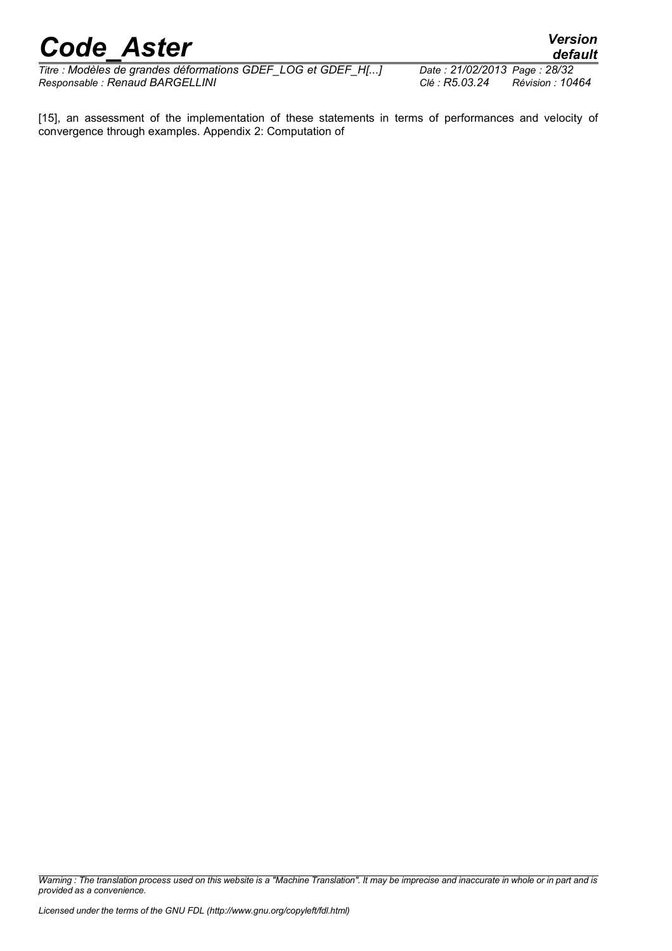*Titre : Modèles de grandes déformations GDEF\_LOG et GDEF\_H[...] Date : 21/02/2013 Page : 28/32 Responsable : Renaud BARGELLINI Clé : R5.03.24 Révision : 10464*

*default*

[15], an assessment of the implementation of these statements in terms of performances and velocity of convergence through examples. Appendix 2: Computation of

*Warning : The translation process used on this website is a "Machine Translation". It may be imprecise and inaccurate in whole or in part and is provided as a convenience.*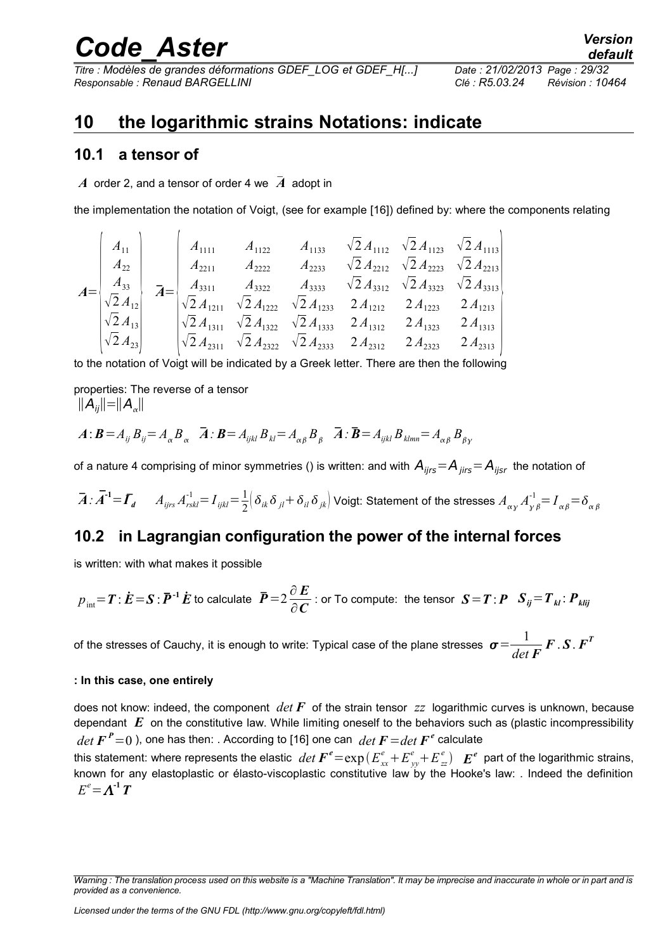*Titre : Modèles de grandes déformations GDEF\_LOG et GDEF\_H[...] Date : 21/02/2013 Page : 29/32 Responsable : Renaud BARGELLINI Clé : R5.03.24 Révision : 10464*

### <span id="page-28-2"></span>**10 the logarithmic strains Notations: indicate**

### <span id="page-28-1"></span>**10.1 a tensor of**

*A* order 2, and a tensor of order 4 we *A* adopt in

the implementation the notation of Voigt, (see for example [16]) defined by: where the components relating

$$
A = \begin{pmatrix} A_{11} \\ A_{22} \\ A_{33} \\ \sqrt{2} A_{12} \\ \sqrt{2} A_{13} \\ \sqrt{2} A_{23} \end{pmatrix} \quad \vec{A} = \begin{pmatrix} A_{1111} & A_{1122} & A_{1133} & \sqrt{2} A_{1112} & \sqrt{2} A_{1123} & \sqrt{2} A_{1113} \\ A_{2211} & A_{2222} & A_{2233} & \sqrt{2} A_{2212} & \sqrt{2} A_{2223} & \sqrt{2} A_{2213} \\ A_{3311} & A_{3322} & A_{3333} & \sqrt{2} A_{3312} & \sqrt{2} A_{3323} & \sqrt{2} A_{3313} \\ \sqrt{2} A_{121} & \sqrt{2} A_{1222} & \sqrt{2} A_{1233} & 2 A_{1212} & 2 A_{1223} & 2 A_{1213} \\ \sqrt{2} A_{13} & \sqrt{2} A_{1311} & \sqrt{2} A_{1322} & \sqrt{2} A_{1333} & 2 A_{1312} & 2 A_{1323} & 2 A_{1313} \\ \sqrt{2} A_{231} & \sqrt{2} A_{2312} & \sqrt{2} A_{2322} & \sqrt{2} A_{2313} & 2 A_{2312} & 2 A_{2323} & 2 A_{2313} \end{pmatrix}
$$

to the notation of Voigt will be indicated by a Greek letter. There are then the following

properties: The reverse of a tensor  $||A_{ij}||=||A_{\alpha}||$ 

$$
\boldsymbol{A} : \boldsymbol{B} = A_{ij} B_{ij} = A_{\alpha} B_{\alpha} \quad \bar{\boldsymbol{A}} : \boldsymbol{B} = A_{ijkl} B_{kl} = A_{\alpha\beta} B_{\beta} \quad \bar{\boldsymbol{A}} : \bar{\boldsymbol{B}} = A_{ijkl} B_{klmn} = A_{\alpha\beta} B_{\beta\gamma}
$$

of a nature 4 comprising of minor symmetries () is written: and with  $A_{ijrs} = A_{ijrs} = A_{ijsr}$  the notation of

$$
\vec{A} \cdot \vec{A}^{-1} = \vec{I}_d \qquad A_{ijrs} A_{rskl}^{-1} = I_{ijkl} = \frac{1}{2} \left( \delta_{ik} \delta_{jl} + \delta_{il} \delta_{jk} \right)
$$
 Voigt: Statement of the stresses  $A_{\alpha\gamma} A_{\gamma\beta}^{-1} = I_{\alpha\beta} = \delta_{\alpha\beta}$ 

### <span id="page-28-0"></span>**10.2 in Lagrangian configuration the power of the internal forces**

is written: with what makes it possible

$$
p_{\text{int}} = T : \dot{E} = S : \overline{P}^{-1} \dot{E} \text{ to calculate } \overline{P} = 2 \frac{\partial E}{\partial C} : \text{ or To compute: the tensor } S = T : P \quad S_{ij} = T_{kl} : P_{klij}
$$

of the stresses of Cauchy, it is enough to write: Typical case of the plane stresses  $\bm{\sigma} \!=\! \frac{1}{\bm{\tau}}$ *det F*  $\bm{F}$  .  $\bm{S}$  .  $\bm{F}^T$ 

#### **: In this case, one entirely**

does not know: indeed, the component *det F* of the strain tensor *zz* logarithmic curves is unknown, because dependant *E* on the constitutive law. While limiting oneself to the behaviors such as (plastic incompressibility  $det\, \boldsymbol{F\,^{\boldsymbol{P}}\!=\!0$  ), one has then: . According to [16] one can  $\,det\,\boldsymbol{F\!=}\!det\,\boldsymbol{F}^{\boldsymbol{e}}$  calculate

this statement: where represents the elastic  $\ det\ \bm F^e\! =\! \exp(E_{xx}^e\! +\! E_{yy}^e\! +\! E_{zz}^e)\ \ \ \bm E^e$  part of the logarithmic strains, known for any elastoplastic or élasto-viscoplastic constitutive law by the Hooke's law: . Indeed the definition  $E^e = \Lambda^{-1}T$ 

*Warning : The translation process used on this website is a "Machine Translation". It may be imprecise and inaccurate in whole or in part and is provided as a convenience.*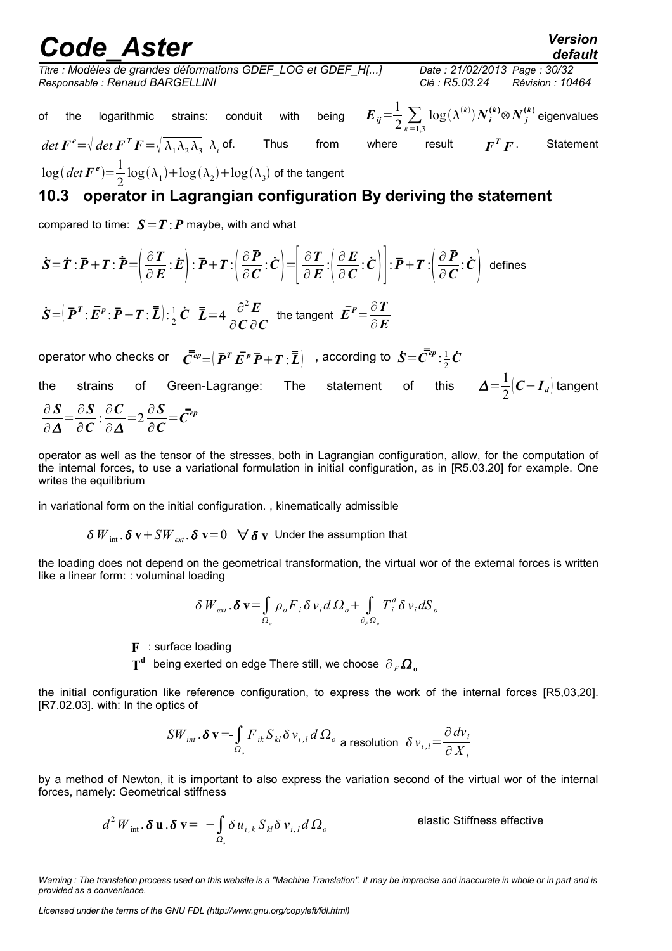*default*

*Titre : Modèles de grandes déformations GDEF\_LOG et GDEF\_H[...] Date : 21/02/2013 Page : 30/32 Responsable : Renaud BARGELLINI Clé : R5.03.24 Révision : 10464*

of the logarithmic strains: conduit with being 
$$
E_{ij} = \frac{1}{2} \sum_{k=1,3}
$$

 $\log(\lambda^{(k)})\boldsymbol{N}_{\boldsymbol{i}}^{(\boldsymbol{k})}$ ⊗ $\boldsymbol{N}_{\boldsymbol{j}}^{(\boldsymbol{k})}$  eigenvalues Thus from where result  $\mathbf{F}^T \mathbf{F}$ . *F* . Statement

 $det \mathbf{F}^e = \sqrt{det \mathbf{F}^T \mathbf{F}} = \sqrt{\lambda_1 \lambda_2 \lambda_3} \lambda_i$  $\log(\det F^e) = \frac{1}{2}$  $\frac{1}{2}$ log $(\lambda_1)$ +log $(\lambda_2)$ +log $(\lambda_3)$  of the tangent

## <span id="page-29-0"></span>**10.3 operator in Lagrangian configuration By deriving the statement**

compared to time:  $S = T : P$  maybe, with and what

$$
\dot{S} = \dot{T} : \overline{P} + T : \overline{P} = \left(\frac{\partial T}{\partial E} : \dot{E}\right) : \overline{P} + T : \left(\frac{\partial P}{\partial C} : \dot{C}\right) = \left[\frac{\partial T}{\partial E} : \left(\frac{\partial E}{\partial C} : \dot{C}\right)\right] : \overline{P} + T : \left(\frac{\partial P}{\partial C} : \dot{C}\right) \text{ defines}
$$

 $\dot{\bm{S}}$  =  $\left(\bm{\bar{P}}^{\bm{T}}$  :  $\bm{\bar{E}}^{\bm{p}}$  :  $\bm{\bar{P}}$  +  $\bm{T}$  :  $\bm{\bar{L}}$  :  $\frac{1}{2}$  $\frac{1}{2}\dot{C}$   $\bar{L} = 4 \frac{\partial^2 E}{\partial C \partial L}$ ∂*C* ∂*C* the tangent  $\vec{E}^P = \frac{\partial T}{\partial \vec{E}}$ ∂*E*

operator who checks or  $\quad \bar{C}^{ep}\!=\!\big(\,\bar{\pmb{P}}^T\,\bar{\pmb{E}}^p\,\bar{\pmb{P}}\!+\pmb{T}:\!\bar{\bar{\pmb{L}}}\big) \quad$  , according to  $\,\dot{\pmb{S}}\!=\!\bar{\pmb{C}}^{ep}\!:\!\frac{1}{2}$  $\frac{1}{2}$  $\dot{\bm{C}}$ 

the strains of Green-Lagrange: The statement 1  $\frac{1}{2}$  $\left($ *C*−*I*<sub>*d*</sub> $\right)$  tangent ∂ *S*  $\partial \boldsymbol{\varDelta}$  $=\frac{\partial S}{\partial \Omega}$ ∂*C* : ∂*C* ∂∆  $=2\frac{\partial S}{\partial S}$ ∂*C*  $=\bar{\bar{C}}^{ep}$ 

operator as well as the tensor of the stresses, both in Lagrangian configuration, allow, for the computation of the internal forces, to use a variational formulation in initial configuration, as in [R5.03.20] for example. One writes the equilibrium

in variational form on the initial configuration. , kinematically admissible

 $\delta W_{\text{int}}$   $\delta \mathbf{v} + SW_{\text{ext}}$   $\delta \mathbf{v} = 0 \quad \forall \delta \mathbf{v}$  Under the assumption that

the loading does not depend on the geometrical transformation, the virtual wor of the external forces is written like a linear form: : voluminal loading

$$
\delta W_{ext}.\delta \mathbf{v} = \int_{\Omega_o} \rho_o F_i \delta v_i d\Omega_o + \int_{\partial_r \Omega_o} T_i^d \delta v_i dS_o
$$

**F** : surface loading

 $\textbf{T}^\textbf{d}$  being exerted on edge There still, we choose  $\left. \partial_{\textit{F}} \boldsymbol{\Omega} _{\textbf{o}} \right|$ 

the initial configuration like reference configuration, to express the work of the internal forces [R5,03,20]. [R7.02.03]. with: In the optics of

$$
SW_{int}.\delta\,\mathbf{v} = \int_{\Omega_{\rho}} F_{ik} S_{kl} \delta\, v_{i,l} d\,\Omega_{\rho} \text{ a resolution } \delta\, v_{i,l} = \frac{\partial\, dv_i}{\partial\, X_l}
$$

by a method of Newton, it is important to also express the variation second of the virtual wor of the internal forces, namely: Geometrical stiffness

$$
d^2 W_{int} \cdot \delta \mathbf{u} \cdot \delta \mathbf{v} = - \int_{\Omega_{\delta}} \delta u_{i,k} S_{kl} \delta v_{i,l} d\Omega_o
$$

elastic Stiffness effective

*Warning : The translation process used on this website is a "Machine Translation". It may be imprecise and inaccurate in whole or in part and is provided as a convenience.*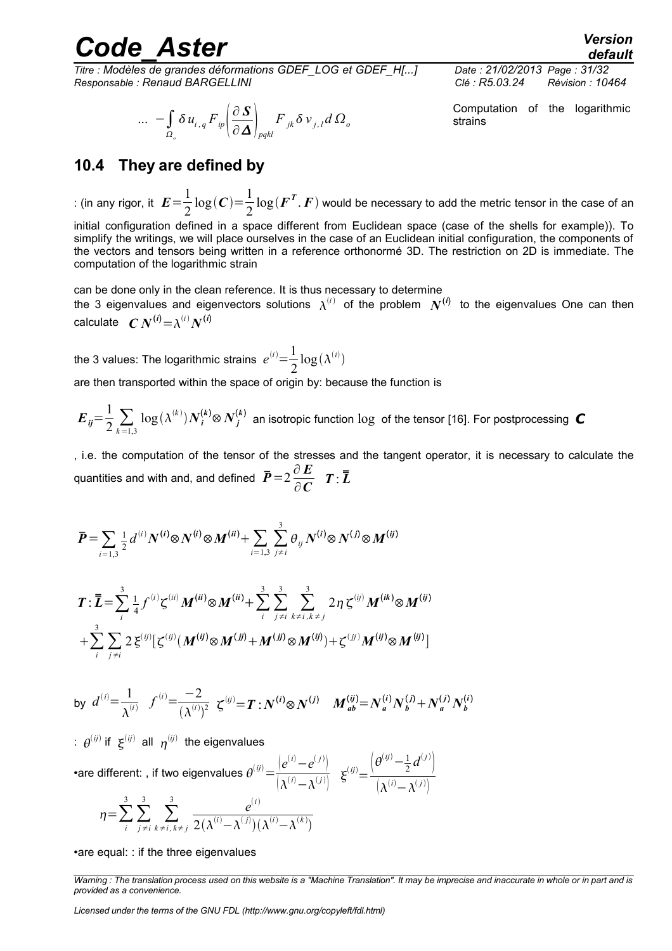*Titre : Modèles de grandes déformations GDEF\_LOG et GDEF\_H[...] Date : 21/02/2013 Page : 31/32 Responsable : Renaud BARGELLINI Clé : R5.03.24 Révision : 10464*

$$
\ldots - \int_{\Omega_{\circ}} \delta u_{i,q} F_{ip} \left( \frac{\partial S}{\partial \Delta} \right)_{pqkl} F_{jk} \delta v_{j,l} d \Omega_o
$$

*default*

Computation of the logarithmic strains

### <span id="page-30-0"></span>**10.4 They are defined by**

: (in any rigor, it  $E\!=\!{1\over2}$ 2  $\log(C) = \frac{1}{2}$ 2  $\log(\boldsymbol{F}^{\boldsymbol{T}}.\,\boldsymbol{F})$  would be necessary to add the metric tensor in the case of an

initial configuration defined in a space different from Euclidean space (case of the shells for example)). To simplify the writings, we will place ourselves in the case of an Euclidean initial configuration, the components of the vectors and tensors being written in a reference orthonormé 3D. The restriction on 2D is immediate. The computation of the logarithmic strain

can be done only in the clean reference. It is thus necessary to determine

the 3 eigenvalues and eigenvectors solutions  $\lambda^{(i)}$  of the problem  $N^{(i)}$  to the eigenvalues One can then  $\boldsymbol{C} \, \boldsymbol{N}^{(\boldsymbol{i})} \! = \! \lambda^{(\boldsymbol{i})} \boldsymbol{N}^{(\boldsymbol{i})}$ 

the 3 values: The logarithmic strains  $e^{(i)} = \frac{1}{2}$ 2  $\log(\lambda^{(i)})$ 

are then transported within the space of origin by: because the function is

 $E_{ij} = \frac{1}{2} \sum_{k=1,3}$  $\log(\lambda^{(k)})N_i^{(k)}$ ⊗  $N_j^{(k)}$  an isotropic function  $\log$  of the tensor [16]. For postprocessing  $\,$   $\,$   $\,$ 

, i.e. the computation of the tensor of the stresses and the tangent operator, it is necessary to calculate the quantities and with and, and defined  $\vec{P} = 2 \frac{\partial \vec{E}}{\partial \vec{E}}$  $\frac{\partial E}{\partial C}$   $T: \overline{\overline{L}}$ 

$$
\bar{P} = \sum_{i=1,3} \frac{1}{2} d^{(i)} N^{(i)} \otimes N^{(i)} \otimes M^{(ii)} + \sum_{i=1,3} \sum_{j \neq i}^{3} \theta_{ij} N^{(i)} \otimes N^{(j)} \otimes M^{(ij)}
$$

$$
\boldsymbol{T}: \overline{\boldsymbol{L}} = \sum_{i}^{3} \frac{1}{4} f^{(i)} \zeta^{(ii)} M^{(ii)} \otimes M^{(ii)} + \sum_{i}^{3} \sum_{j \neq i}^{3} \sum_{k \neq i, k \neq j}^{3} 2 \eta \zeta^{(ij)} M^{(ik)} \otimes M^{(ij)} + \sum_{i}^{3} \sum_{j \neq i}^{3} 2 \xi^{(ij)} [\zeta^{(ij)} (M^{(ij)} \otimes M^{(ij)} + M^{(jj)} \otimes M^{(ij)}) + \zeta^{(jj)} M^{(ij)} \otimes M^{(ij)}]
$$

by 
$$
d^{(i)} = \frac{1}{\lambda^{(i)}} f^{(i)} = \frac{-2}{(\lambda^{(i)})^2} \zeta^{(ij)} = T : N^{(i)} \otimes N^{(j)} M^{(ij)}_{ab} = N_a^{(i)} N_b^{(j)} + N_a^{(j)} N_b^{(i)}
$$

:  $\theta^{(ij)}$  if  $\boldsymbol{\xi}^{(ij)}$  all  $\boldsymbol{\eta}^{(ij)}$  the eigenvalues

•are different: , if two eigenvalues  $\theta^{(ij)} = \frac{\left[e^{(i)} - e^{(j)}\right]}{\frac{1}{\sigma^{(i)}-e^{(j)}}}$  $\frac{1}{\left(\lambda^{(i)}-\lambda^{(j)}\right)}$   $\xi^{(ij)}=$  $\left(\theta^{(ij)}-\frac{1}{2}d^{(j)}\right)^{j}$  $\left( \lambda^{(i)} - \lambda^{(j)} \right)$ 3 3 3 *e i*

$$
\eta = \sum_{i} \sum_{j \neq i} \sum_{k \neq i, k \neq j} \frac{e^{z^{(i)}}}{2(\lambda^{(i)} - \lambda^{(j)})(\lambda^{(i)} - \lambda^{(k)})}
$$

•are equal: : if the three eigenvalues

*Warning : The translation process used on this website is a "Machine Translation". It may be imprecise and inaccurate in whole or in part and is provided as a convenience.*